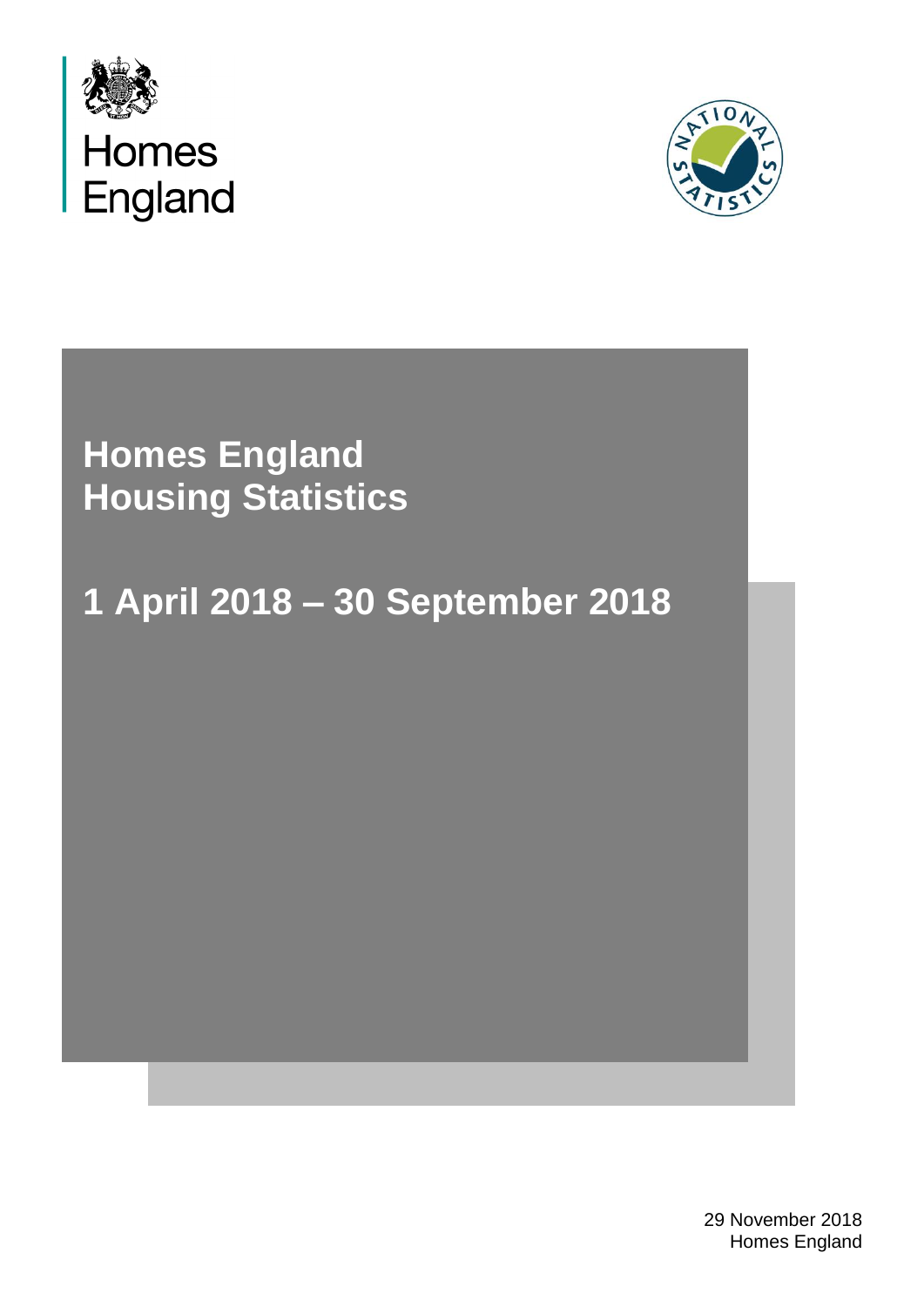



**Homes England Housing Statistics**

# **1 April 2018 – 30 September 2018**

29 November 2018 Homes England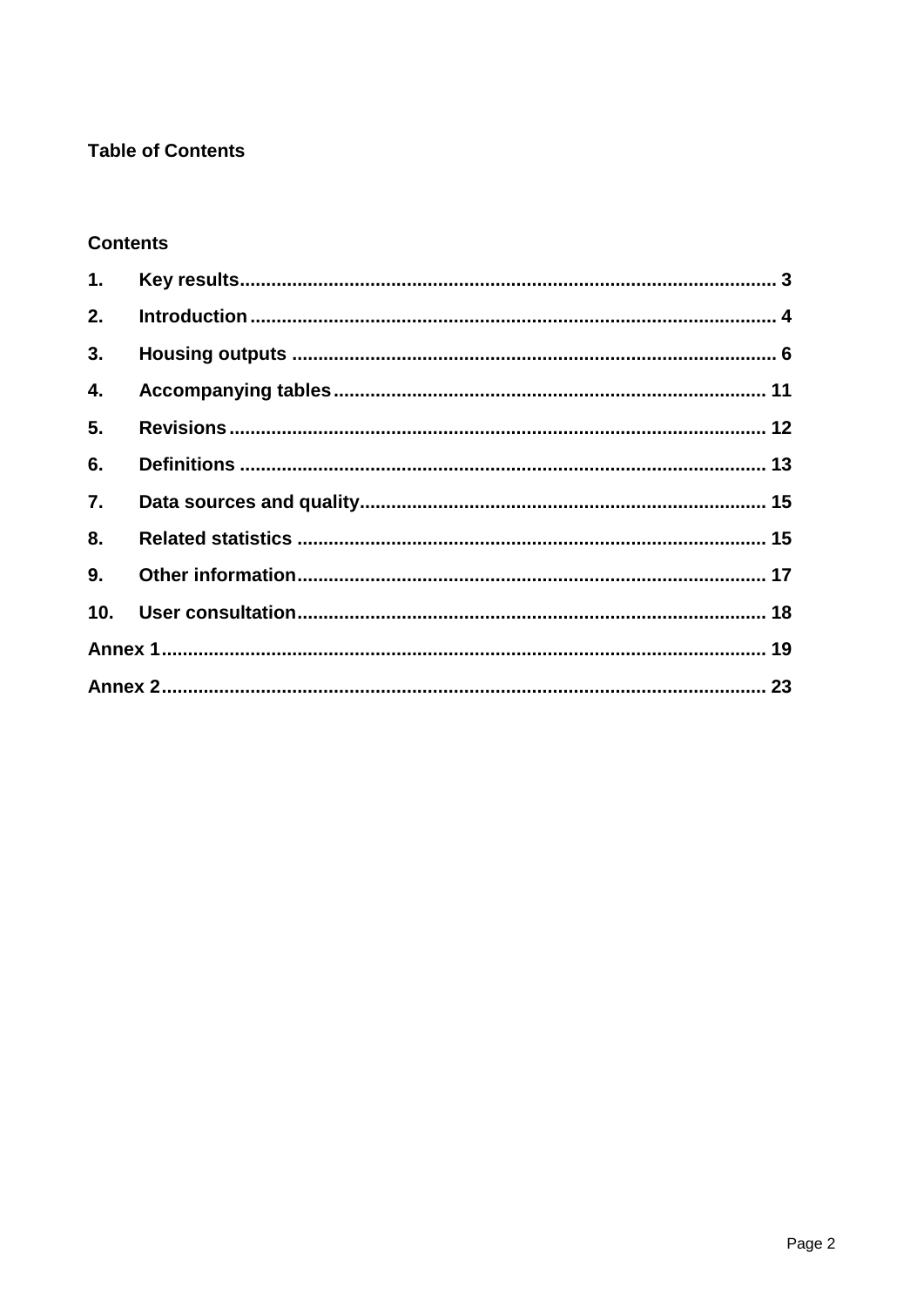### **Table of Contents**

### **Contents**

| 1.  |  |
|-----|--|
| 2.  |  |
| 3.  |  |
| 4.  |  |
| 5.  |  |
| 6.  |  |
| 7.  |  |
| 8.  |  |
| 9.  |  |
| 10. |  |
|     |  |
|     |  |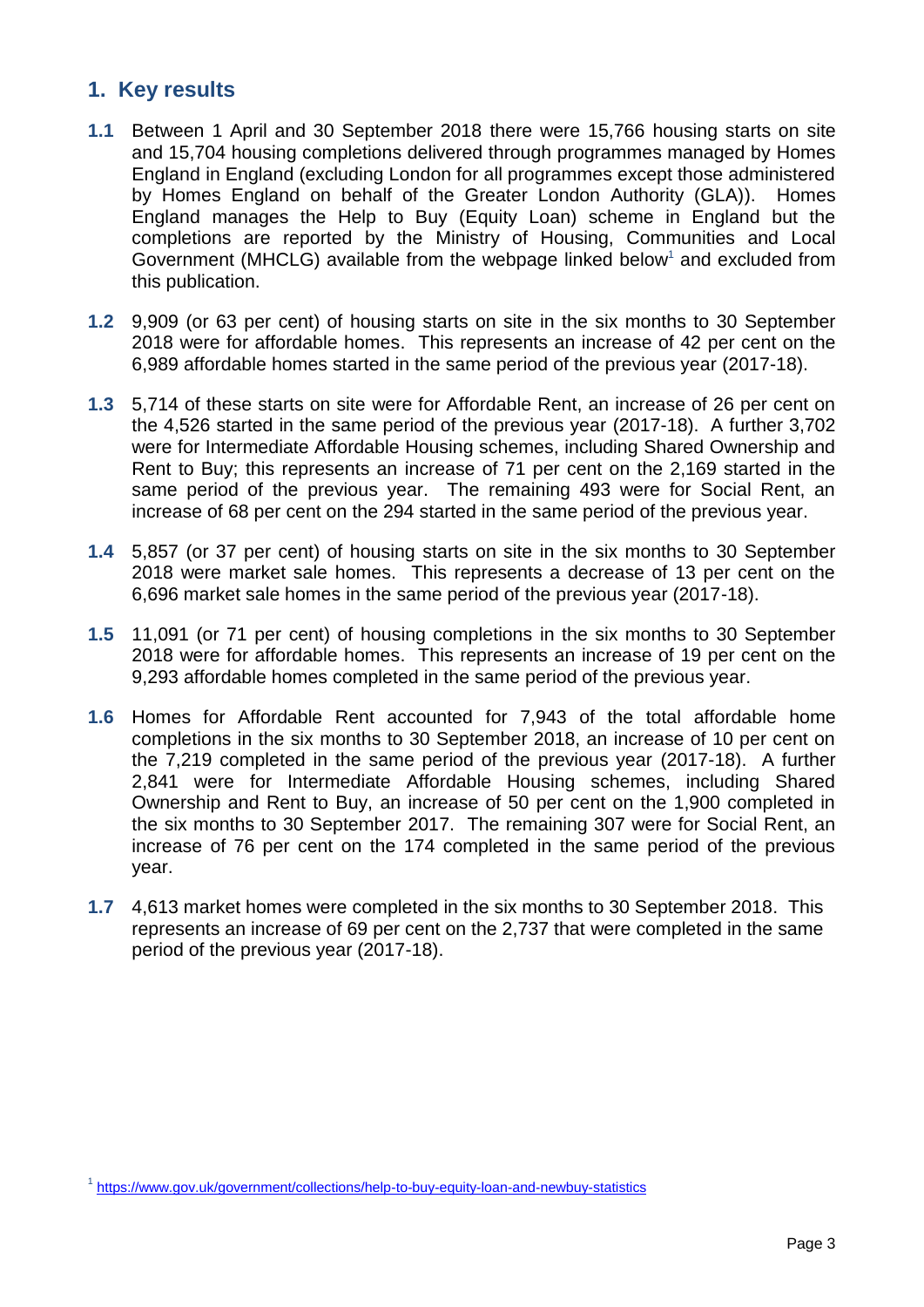### <span id="page-2-0"></span>**1. Key results**

- **1.1** Between 1 April and 30 September 2018 there were 15,766 housing starts on site and 15,704 housing completions delivered through programmes managed by Homes England in England (excluding London for all programmes except those administered by Homes England on behalf of the Greater London Authority (GLA)). Homes England manages the Help to Buy (Equity Loan) scheme in England but the completions are reported by the Ministry of Housing, Communities and Local Government (MHCLG) available from the webpage linked below<sup>1</sup> and excluded from this publication.
- **1.2** 9,909 (or 63 per cent) of housing starts on site in the six months to 30 September 2018 were for affordable homes. This represents an increase of 42 per cent on the 6,989 affordable homes started in the same period of the previous year (2017-18).
- **1.3** 5,714 of these starts on site were for Affordable Rent, an increase of 26 per cent on the 4,526 started in the same period of the previous year (2017-18). A further 3,702 were for Intermediate Affordable Housing schemes, including Shared Ownership and Rent to Buy; this represents an increase of 71 per cent on the 2,169 started in the same period of the previous year. The remaining 493 were for Social Rent, an increase of 68 per cent on the 294 started in the same period of the previous year.
- **1.4** 5,857 (or 37 per cent) of housing starts on site in the six months to 30 September 2018 were market sale homes. This represents a decrease of 13 per cent on the 6,696 market sale homes in the same period of the previous year (2017-18).
- **1.5** 11,091 (or 71 per cent) of housing completions in the six months to 30 September 2018 were for affordable homes. This represents an increase of 19 per cent on the 9,293 affordable homes completed in the same period of the previous year.
- **1.6** Homes for Affordable Rent accounted for 7,943 of the total affordable home completions in the six months to 30 September 2018, an increase of 10 per cent on the 7,219 completed in the same period of the previous year (2017-18). A further 2,841 were for Intermediate Affordable Housing schemes, including Shared Ownership and Rent to Buy, an increase of 50 per cent on the 1,900 completed in the six months to 30 September 2017. The remaining 307 were for Social Rent, an increase of 76 per cent on the 174 completed in the same period of the previous year.
- **1.7** 4,613 market homes were completed in the six months to 30 September 2018. This represents an increase of 69 per cent on the 2,737 that were completed in the same period of the previous year (2017-18).

<sup>&</sup>lt;sup>1</sup> <https://www.gov.uk/government/collections/help-to-buy-equity-loan-and-newbuy-statistics>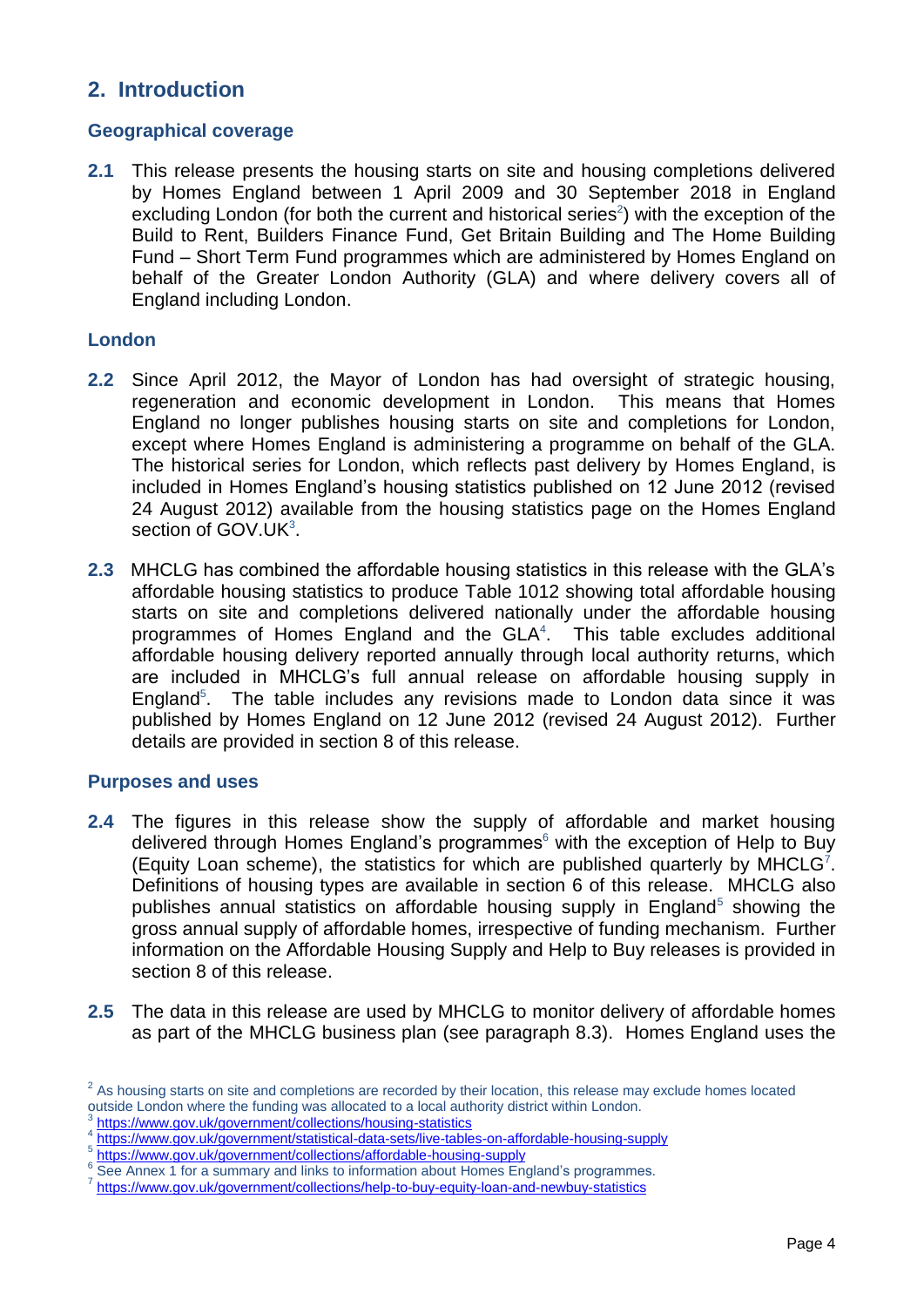### <span id="page-3-0"></span>**2. Introduction**

### **Geographical coverage**

**2.1** This release presents the housing starts on site and housing completions delivered by Homes England between 1 April 2009 and 30 September 2018 in England excluding London (for both the current and historical series<sup>2</sup>) with the exception of the Build to Rent, Builders Finance Fund, Get Britain Building and The Home Building Fund – Short Term Fund programmes which are administered by Homes England on behalf of the Greater London Authority (GLA) and where delivery covers all of England including London.

### **London**

- **2.2** Since April 2012, the Mayor of London has had oversight of strategic housing, regeneration and economic development in London. This means that Homes England no longer publishes housing starts on site and completions for London, except where Homes England is administering a programme on behalf of the GLA. The historical series for London, which reflects past delivery by Homes England, is included in Homes England's housing statistics published on 12 June 2012 (revised 24 August 2012) available from the housing statistics page on the Homes England section of GOV.UK<sup>3</sup>.
- **2.3** MHCLG has combined the affordable housing statistics in this release with the GLA's affordable housing statistics to produce Table 1012 showing total affordable housing starts on site and completions delivered nationally under the affordable housing programmes of Homes England and the GLA<sup>4</sup>. This table excludes additional affordable housing delivery reported annually through local authority returns, which are included in MHCLG's full annual release on affordable housing supply in England<sup>5</sup>. . The table includes any revisions made to London data since it was published by Homes England on 12 June 2012 (revised 24 August 2012). Further details are provided in section 8 of this release.

### **Purposes and uses**

- **2.4** The figures in this release show the supply of affordable and market housing delivered through Homes England's programmes $<sup>6</sup>$  with the exception of Help to Buy</sup> (Equity Loan scheme), the statistics for which are published quarterly by MHCLG<sup>7</sup>. Definitions of housing types are available in section 6 of this release. MHCLG also publishes annual statistics on affordable housing supply in England<sup>5</sup> showing the gross annual supply of affordable homes, irrespective of funding mechanism. Further information on the Affordable Housing Supply and Help to Buy releases is provided in section 8 of this release.
- **2.5** The data in this release are used by MHCLG to monitor delivery of affordable homes as part of the MHCLG business plan (see paragraph 8.3). Homes England uses the

 $2^2$  As housing starts on site and completions are recorded by their location, this release may exclude homes located outside London where the funding was allocated to a local authority district within London.

<sup>3</sup> <https://www.gov.uk/government/collections/housing-statistics>

<sup>4</sup> <https://www.gov.uk/government/statistical-data-sets/live-tables-on-affordable-housing-supply>

<sup>5</sup> <https://www.gov.uk/government/collections/affordable-housing-supply>

<sup>&</sup>lt;sup>6</sup> See Annex 1 for a summary and links to information about Homes England's programmes.

<https://www.gov.uk/government/collections/help-to-buy-equity-loan-and-newbuy-statistics>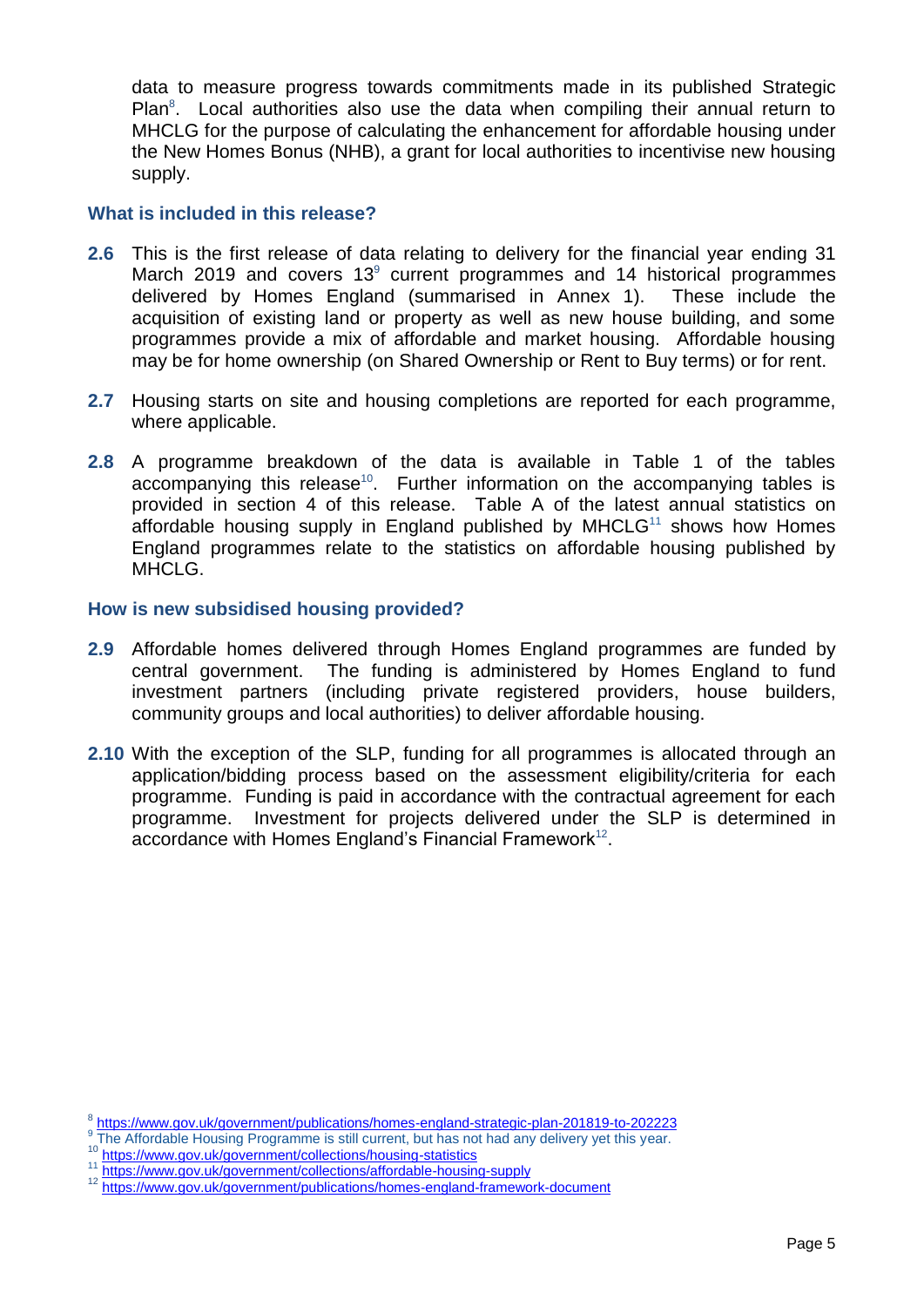data to measure progress towards commitments made in its published Strategic Plan $8$ . Local authorities also use the data when compiling their annual return to MHCLG for the purpose of calculating the enhancement for affordable housing under the New Homes Bonus (NHB), a grant for local authorities to incentivise new housing supply.

#### **What is included in this release?**

- **2.6** This is the first release of data relating to delivery for the financial year ending 31 March 2019 and covers 13 $^{\circ}$  current programmes and 14 historical programmes delivered by Homes England (summarised in Annex 1). These include the acquisition of existing land or property as well as new house building, and some programmes provide a mix of affordable and market housing. Affordable housing may be for home ownership (on Shared Ownership or Rent to Buy terms) or for rent.
- **2.7** Housing starts on site and housing completions are reported for each programme, where applicable.
- **2.8** A programme breakdown of the data is available in Table 1 of the tables accompanying this release<sup>10</sup>. Further information on the accompanying tables is provided in section 4 of this release. Table A of the latest annual statistics on affordable housing supply in England published by  $MHCLG<sup>11</sup>$  shows how Homes England programmes relate to the statistics on affordable housing published by MHCLG.

#### **How is new subsidised housing provided?**

- **2.9** Affordable homes delivered through Homes England programmes are funded by central government. The funding is administered by Homes England to fund investment partners (including private registered providers, house builders, community groups and local authorities) to deliver affordable housing.
- **2.10** With the exception of the SLP, funding for all programmes is allocated through an application/bidding process based on the assessment eligibility/criteria for each programme. Funding is paid in accordance with the contractual agreement for each programme. Investment for projects delivered under the SLP is determined in accordance with Homes England's Financial Framework $^{12}$ .

<sup>&</sup>lt;sup>8</sup> <https://www.gov.uk/government/publications/homes-england-strategic-plan-201819-to-202223>

<sup>&</sup>lt;sup>9</sup> The Affordable Housing Programme is still current, but has not had any delivery yet this year.

<sup>&</sup>lt;sup>10</sup> <https://www.gov.uk/government/collections/housing-statistics>

<sup>11</sup> <https://www.gov.uk/government/collections/affordable-housing-supply>

<sup>12</sup> <https://www.gov.uk/government/publications/homes-england-framework-document>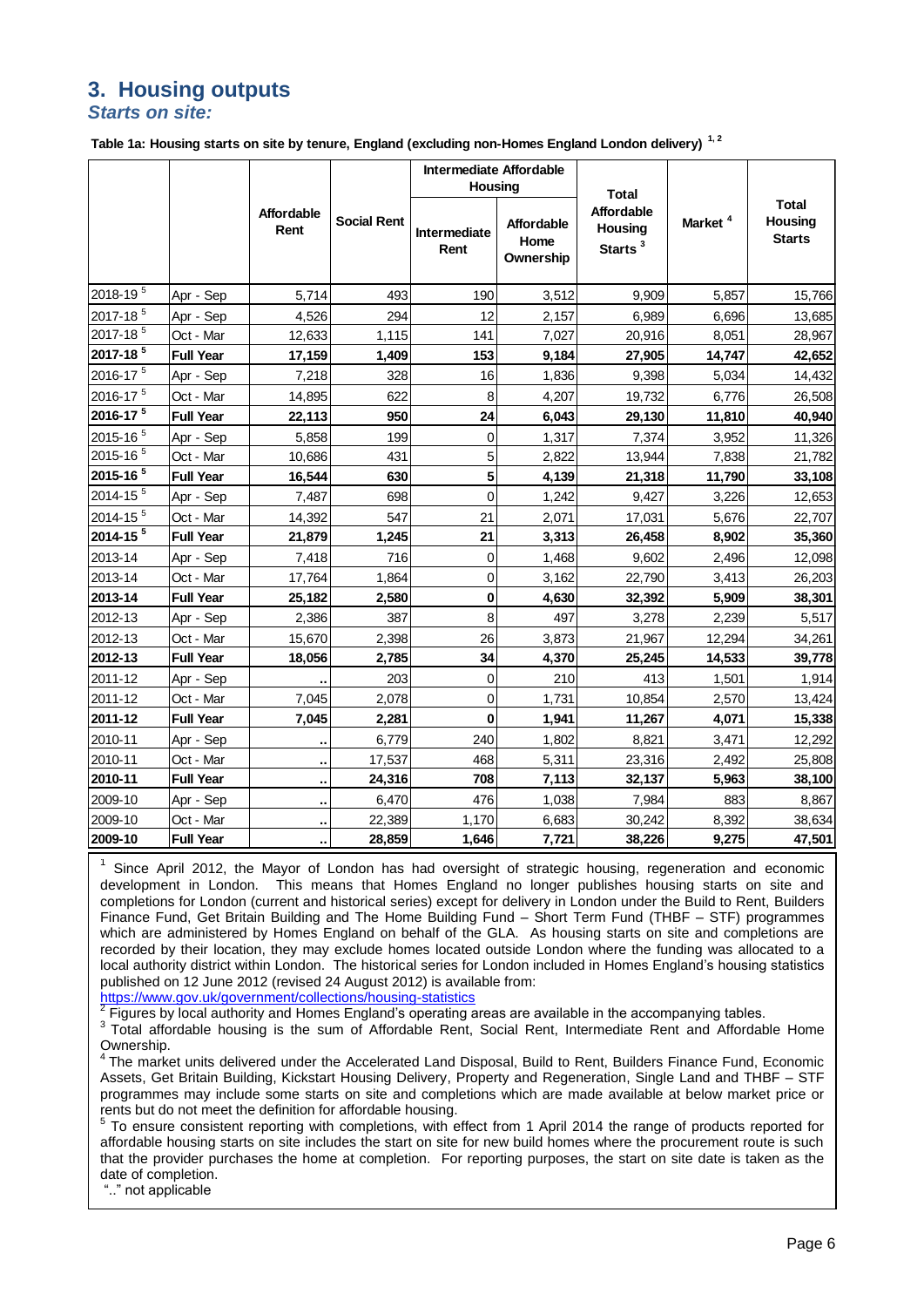### <span id="page-5-0"></span>**3. Housing outputs** *Starts on site:*

**Table 1a: Housing starts on site by tenure, England (excluding non-Homes England London delivery) 1, 2**

|                          |                  |                           |                    | Intermediate Affordable<br><b>Housing</b> |                                 |                                                                     |                     |                                          |
|--------------------------|------------------|---------------------------|--------------------|-------------------------------------------|---------------------------------|---------------------------------------------------------------------|---------------------|------------------------------------------|
|                          |                  | <b>Affordable</b><br>Rent | <b>Social Rent</b> | Intermediate<br>Rent                      | Affordable<br>Home<br>Ownership | <b>Total</b><br><b>Affordable</b><br>Housing<br>Starts <sup>3</sup> | Market <sup>4</sup> | <b>Total</b><br>Housing<br><b>Starts</b> |
| 2018-19 <sup>5</sup>     | Apr - Sep        | 5,714                     | 493                | 190                                       | 3,512                           | 9,909                                                               | 5,857               | 15,766                                   |
| 2017-18 <sup>5</sup>     | Apr - Sep        | 4,526                     | 294                | 12                                        | 2,157                           | 6,989                                                               | 6,696               | 13,685                                   |
| 2017-18 <sup>5</sup>     | Oct - Mar        | 12,633                    | 1,115              | 141                                       | 7,027                           | 20,916                                                              | 8,051               | 28,967                                   |
| 2017-18 <sup>5</sup>     | <b>Full Year</b> | 17,159                    | 1,409              | 153                                       | 9,184                           | 27,905                                                              | 14,747              | 42,652                                   |
| 2016-17 <sup>5</sup>     | Apr - Sep        | 7,218                     | 328                | 16                                        | 1,836                           | 9,398                                                               | 5,034               | 14,432                                   |
| 2016-17 <sup>5</sup>     | Oct - Mar        | 14,895                    | 622                | 8                                         | 4,207                           | 19,732                                                              | 6,776               | 26,508                                   |
| $2016 - 17$ <sup>5</sup> | <b>Full Year</b> | 22,113                    | 950                | 24                                        | 6,043                           | 29,130                                                              | 11,810              | 40,940                                   |
| 2015-16 <sup>5</sup>     | Apr - Sep        | 5,858                     | 199                | $\mathbf 0$                               | 1,317                           | 7,374                                                               | 3,952               | 11,326                                   |
| 2015-16 <sup>5</sup>     | Oct - Mar        | 10,686                    | 431                | $\overline{5}$                            | 2,822                           | 13,944                                                              | 7,838               | 21,782                                   |
| 2015-16 <sup>5</sup>     | <b>Full Year</b> | 16,544                    | 630                | $\overline{\mathbf{5}}$                   | 4,139                           | 21,318                                                              | 11,790              | 33,108                                   |
| 2014-15 <sup>5</sup>     | Apr - Sep        | 7,487                     | 698                | $\Omega$                                  | 1,242                           | 9,427                                                               | 3,226               | 12,653                                   |
| 2014-15 <sup>5</sup>     | Oct - Mar        | 14,392                    | 547                | 21                                        | 2,071                           | 17,031                                                              | 5,676               | 22,707                                   |
| 2014-15 <sup>5</sup>     | <b>Full Year</b> | 21,879                    | 1,245              | 21                                        | 3,313                           | 26,458                                                              | 8,902               | 35,360                                   |
| 2013-14                  | Apr - Sep        | 7,418                     | 716                | $\mathbf 0$                               | 1,468                           | 9,602                                                               | 2,496               | 12,098                                   |
| 2013-14                  | Oct - Mar        | 17,764                    | 1,864              | $\mathbf 0$                               | 3,162                           | 22,790                                                              | 3,413               | 26,203                                   |
| 2013-14                  | <b>Full Year</b> | 25,182                    | 2,580              | 0                                         | 4,630                           | 32,392                                                              | 5,909               | 38,301                                   |
| 2012-13                  | Apr - Sep        | 2,386                     | 387                | 8                                         | 497                             | 3,278                                                               | 2,239               | 5,517                                    |
| 2012-13                  | Oct - Mar        | 15,670                    | 2,398              | 26                                        | 3,873                           | 21,967                                                              | 12,294              | 34,261                                   |
| 2012-13                  | <b>Full Year</b> | 18,056                    | 2,785              | 34                                        | 4,370                           | 25,245                                                              | 14,533              | 39,778                                   |
| 2011-12                  | Apr - Sep        |                           | 203                | $\pmb{0}$                                 | 210                             | 413                                                                 | 1,501               | 1,914                                    |
| 2011-12                  | Oct - Mar        | 7,045                     | 2,078              | $\pmb{0}$                                 | 1,731                           | 10,854                                                              | 2,570               | 13,424                                   |
| 2011-12                  | <b>Full Year</b> | 7,045                     | 2,281              | $\bf{0}$                                  | 1,941                           | 11,267                                                              | 4,071               | 15,338                                   |
| 2010-11                  | Apr - Sep        |                           | 6,779              | 240                                       | 1,802                           | 8,821                                                               | 3,471               | 12,292                                   |
| 2010-11                  | Oct - Mar        | ٠.                        | 17,537             | 468                                       | 5,311                           | 23,316                                                              | 2,492               | 25,808                                   |
| 2010-11                  | <b>Full Year</b> | ٠.                        | 24,316             | 708                                       | 7,113                           | 32,137                                                              | 5,963               | 38,100                                   |
| 2009-10                  | Apr - Sep        | ٠.                        | 6,470              | 476                                       | 1,038                           | 7,984                                                               | 883                 | 8,867                                    |
| 2009-10                  | Oct - Mar        |                           | 22,389             | 1,170                                     | 6,683                           | 30,242                                                              | 8,392               | 38,634                                   |
| 2009-10                  | <b>Full Year</b> | ۰.                        | 28,859             | 1,646                                     | 7,721                           | 38,226                                                              | 9,275               | 47,501                                   |

1 Since April 2012, the Mayor of London has had oversight of strategic housing, regeneration and economic development in London. This means that Homes England no longer publishes housing starts on site and completions for London (current and historical series) except for delivery in London under the Build to Rent, Builders Finance Fund, Get Britain Building and The Home Building Fund – Short Term Fund (THBF – STF) programmes which are administered by Homes England on behalf of the GLA. As housing starts on site and completions are recorded by their location, they may exclude homes located outside London where the funding was allocated to a local authority district within London. The historical series for London included in Homes England's housing statistics published on 12 June 2012 (revised 24 August 2012) is available from:

<https://www.gov.uk/government/collections/housing-statistics>

 $2$  Figures by local authority and Homes England's operating areas are available in the accompanying tables.

<sup>3</sup> Total affordable housing is the sum of Affordable Rent, Social Rent, Intermediate Rent and Affordable Home Ownership.

<sup>4</sup> The market units delivered under the Accelerated Land Disposal, Build to Rent, Builders Finance Fund, Economic Assets, Get Britain Building, Kickstart Housing Delivery, Property and Regeneration, Single Land and THBF – STF programmes may include some starts on site and completions which are made available at below market price or rents but do not meet the definition for affordable housing.

<sup>5</sup> To ensure consistent reporting with completions, with effect from 1 April 2014 the range of products reported for affordable housing starts on site includes the start on site for new build homes where the procurement route is such that the provider purchases the home at completion. For reporting purposes, the start on site date is taken as the date of completion.

".." not applicable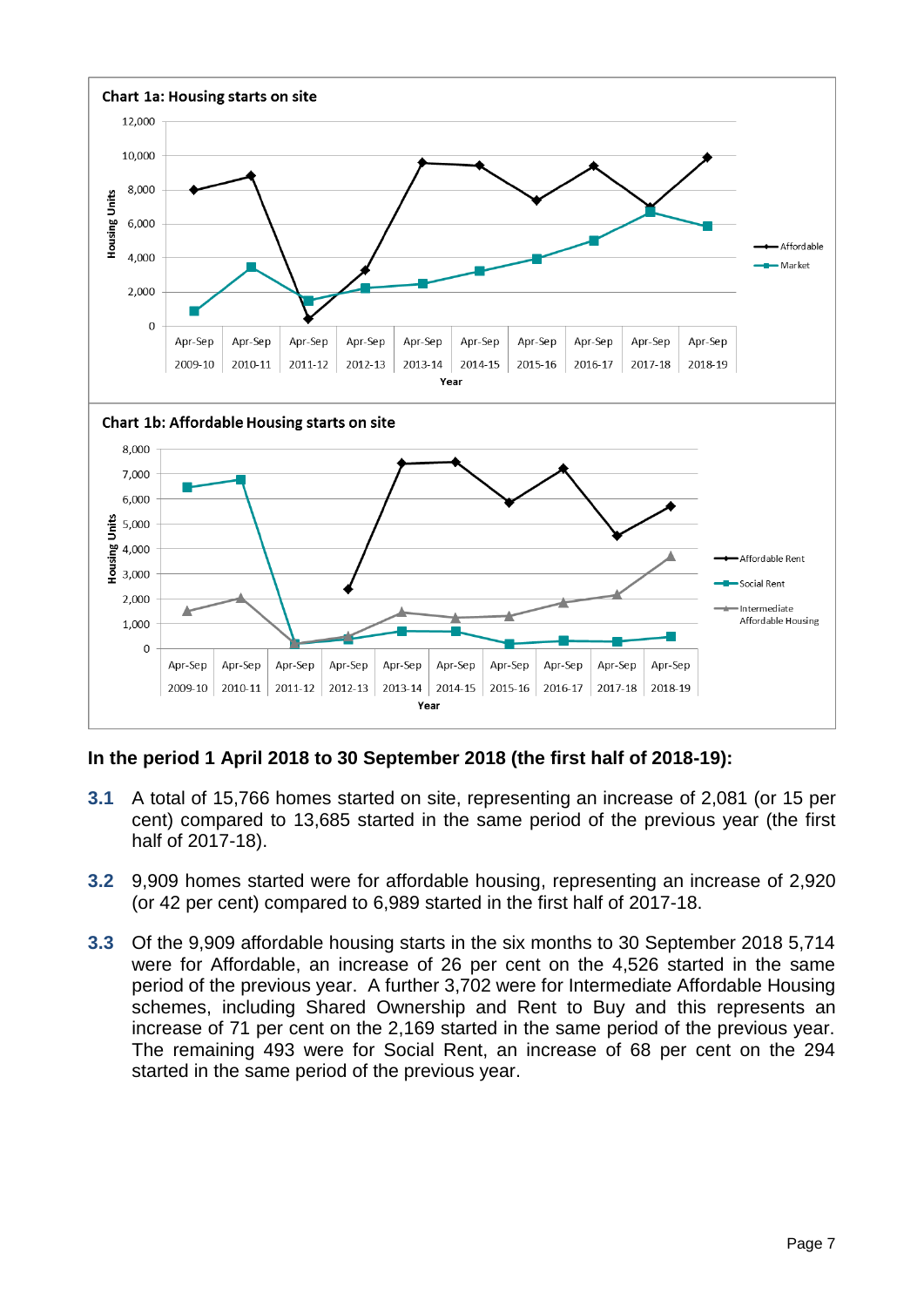

**In the period 1 April 2018 to 30 September 2018 (the first half of 2018-19):**

- **3.1** A total of 15,766 homes started on site, representing an increase of 2,081 (or 15 per cent) compared to 13,685 started in the same period of the previous year (the first half of 2017-18).
- **3.2** 9,909 homes started were for affordable housing, representing an increase of 2,920 (or 42 per cent) compared to 6,989 started in the first half of 2017-18.
- **3.3** Of the 9,909 affordable housing starts in the six months to 30 September 2018 5,714 were for Affordable, an increase of 26 per cent on the 4,526 started in the same period of the previous year. A further 3,702 were for Intermediate Affordable Housing schemes, including Shared Ownership and Rent to Buy and this represents an increase of 71 per cent on the 2,169 started in the same period of the previous year. The remaining 493 were for Social Rent, an increase of 68 per cent on the 294 started in the same period of the previous year.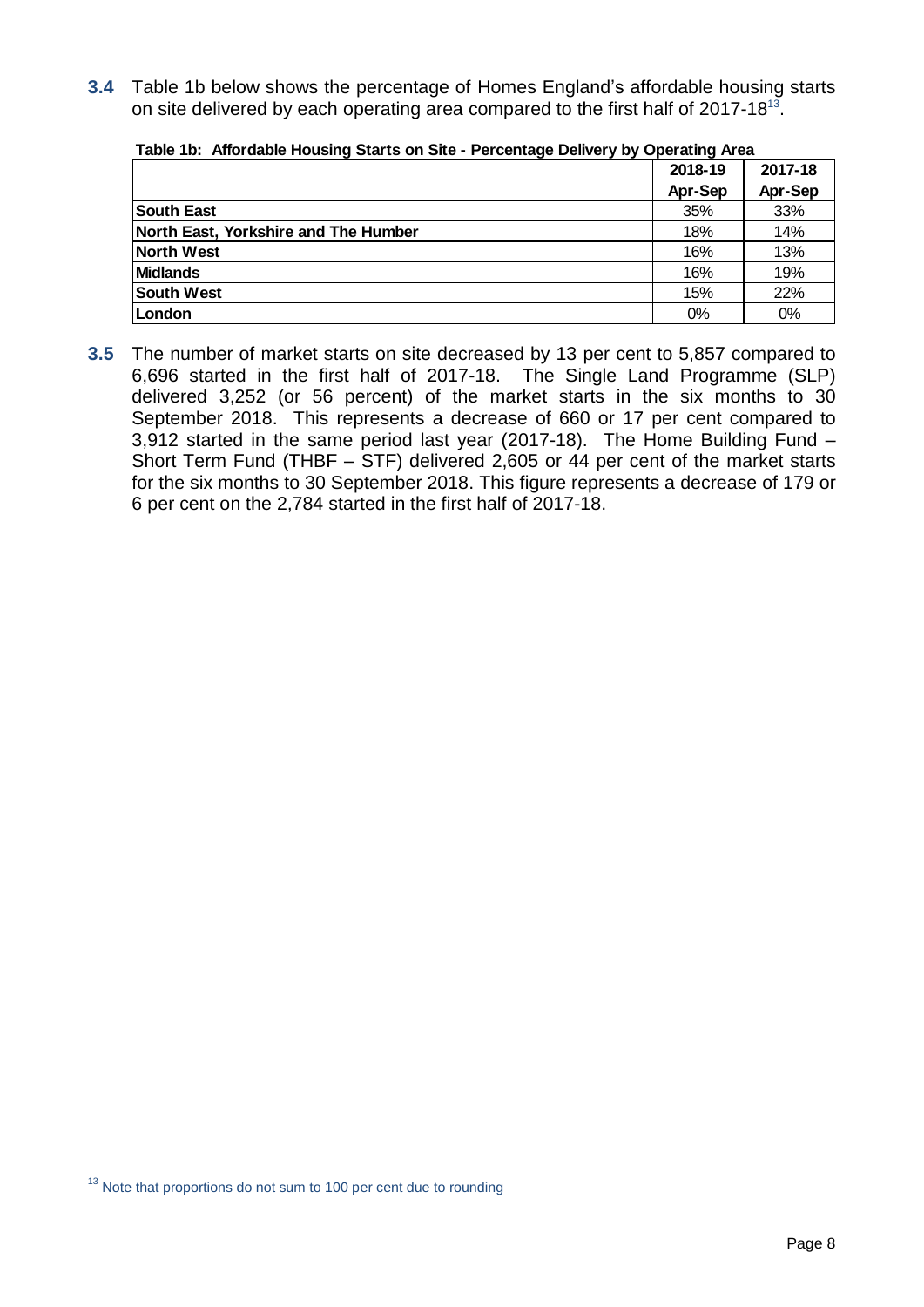**3.4** Table 1b below shows the percentage of Homes England's affordable housing starts on site delivered by each operating area compared to the first half of 2017-18<sup>13</sup>.

|                                      | 2018-19 | 2017-18 |
|--------------------------------------|---------|---------|
|                                      | Apr-Sep | Apr-Sep |
| <b>South East</b>                    | 35%     | 33%     |
| North East, Yorkshire and The Humber | 18%     | 14%     |
| North West                           | 16%     | 13%     |
| <b>Midlands</b>                      | 16%     | 19%     |
| <b>South West</b>                    | 15%     | 22%     |
| London                               | 0%      | 0%      |

#### **Table 1b: Affordable Housing Starts on Site - Percentage Delivery by Operating Area**

**3.5** The number of market starts on site decreased by 13 per cent to 5,857 compared to 6,696 started in the first half of 2017-18. The Single Land Programme (SLP) delivered 3,252 (or 56 percent) of the market starts in the six months to 30 September 2018. This represents a decrease of 660 or 17 per cent compared to 3,912 started in the same period last year (2017-18). The Home Building Fund – Short Term Fund (THBF – STF) delivered 2,605 or 44 per cent of the market starts for the six months to 30 September 2018. This figure represents a decrease of 179 or 6 per cent on the 2,784 started in the first half of 2017-18.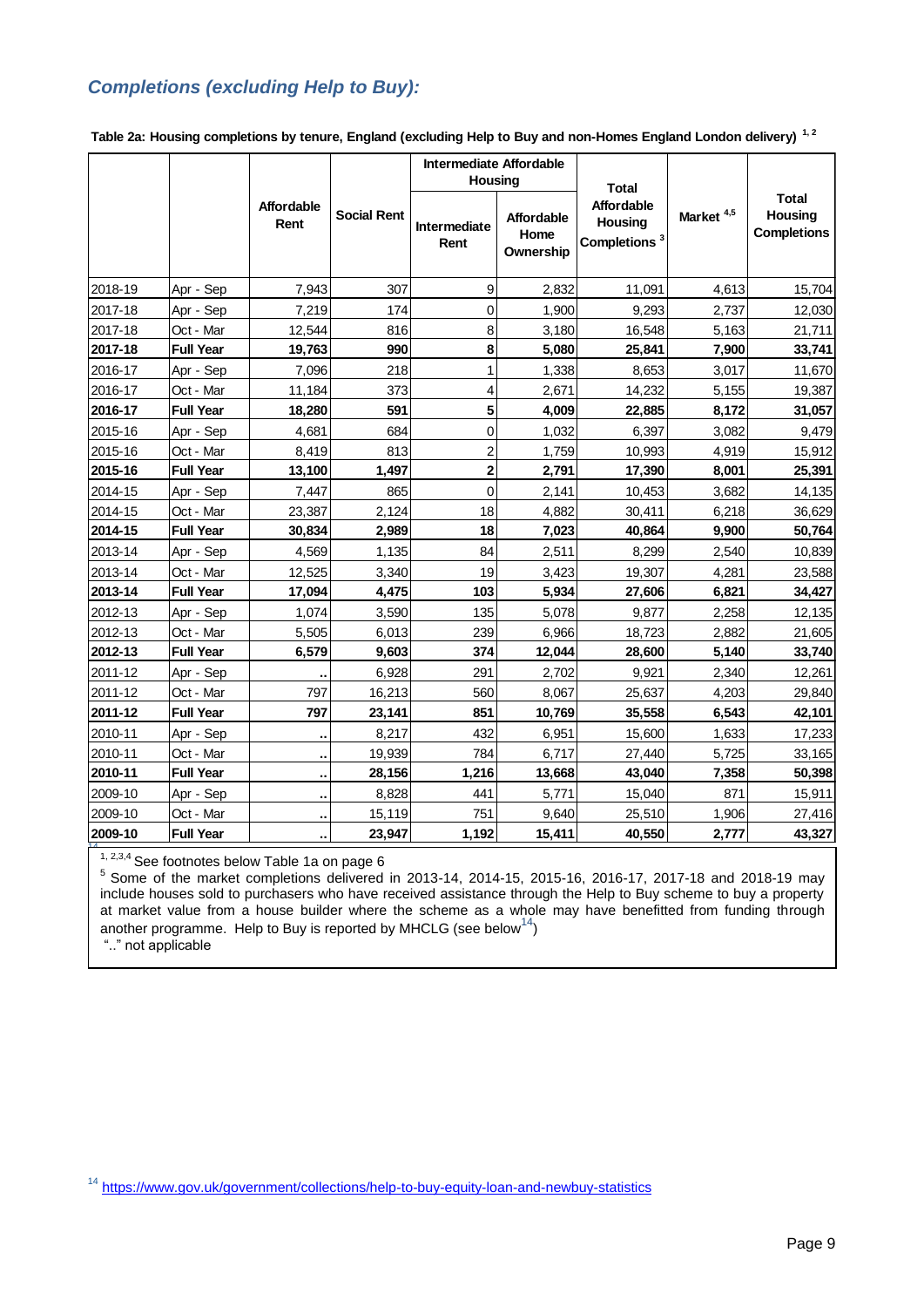### *Completions (excluding Help to Buy):*

|         |                  |                           |                    | <b>Intermediate Affordable</b><br>Housing |                                        |                                                                   |                       |                                               |
|---------|------------------|---------------------------|--------------------|-------------------------------------------|----------------------------------------|-------------------------------------------------------------------|-----------------------|-----------------------------------------------|
|         |                  | <b>Affordable</b><br>Rent | <b>Social Rent</b> | Intermediate<br>Rent                      | <b>Affordable</b><br>Home<br>Ownership | <b>Total</b><br>Affordable<br>Housing<br>Completions <sup>3</sup> | Market <sup>4,5</sup> | <b>Total</b><br>Housing<br><b>Completions</b> |
| 2018-19 | Apr - Sep        | 7,943                     | 307                | $\boldsymbol{9}$                          | 2,832                                  | 11,091                                                            | 4,613                 | 15,704                                        |
| 2017-18 | Apr - Sep        | 7,219                     | 174                | $\mathbf 0$                               | 1,900                                  | 9,293                                                             | 2,737                 | 12,030                                        |
| 2017-18 | Oct - Mar        | 12,544                    | 816                | 8                                         | 3,180                                  | 16,548                                                            | 5,163                 | 21,711                                        |
| 2017-18 | <b>Full Year</b> | 19,763                    | 990                | 8                                         | 5,080                                  | 25,841                                                            | 7,900                 | 33,741                                        |
| 2016-17 | Apr - Sep        | 7,096                     | 218                | $\mathbf{1}$                              | 1,338                                  | 8.653                                                             | 3.017                 | 11,670                                        |
| 2016-17 | Oct - Mar        | 11,184                    | 373                | $\overline{\mathcal{A}}$                  | 2,671                                  | 14,232                                                            | 5,155                 | 19,387                                        |
| 2016-17 | <b>Full Year</b> | 18,280                    | 591                | $\overline{\mathbf{5}}$                   | 4,009                                  | 22,885                                                            | 8,172                 | 31,057                                        |
| 2015-16 | Apr - Sep        | 4,681                     | 684                | $\mathbf 0$                               | 1,032                                  | 6,397                                                             | 3,082                 | 9,479                                         |
| 2015-16 | Oct - Mar        | 8,419                     | 813                | $\sqrt{2}$                                | 1,759                                  | 10,993                                                            | 4,919                 | 15,912                                        |
| 2015-16 | <b>Full Year</b> | 13,100                    | 1,497              | $\overline{\mathbf{2}}$                   | 2,791                                  | 17,390                                                            | 8,001                 | 25,391                                        |
| 2014-15 | Apr - Sep        | 7,447                     | 865                | $\mathbf 0$                               | 2,141                                  | 10,453                                                            | 3,682                 | 14,135                                        |
| 2014-15 | Oct - Mar        | 23,387                    | 2,124              | 18                                        | 4,882                                  | 30,411                                                            | 6,218                 | 36,629                                        |
| 2014-15 | <b>Full Year</b> | 30,834                    | 2,989              | 18                                        | 7,023                                  | 40,864                                                            | 9,900                 | 50,764                                        |
| 2013-14 | Apr - Sep        | 4,569                     | 1,135              | 84                                        | 2,511                                  | 8,299                                                             | 2,540                 | 10,839                                        |
| 2013-14 | Oct - Mar        | 12,525                    | 3,340              | 19                                        | 3,423                                  | 19,307                                                            | 4,281                 | 23,588                                        |
| 2013-14 | <b>Full Year</b> | 17,094                    | 4,475              | 103                                       | 5,934                                  | 27,606                                                            | 6,821                 | 34,427                                        |
| 2012-13 | Apr - Sep        | 1,074                     | 3,590              | 135                                       | 5,078                                  | 9,877                                                             | 2,258                 | 12,135                                        |
| 2012-13 | Oct - Mar        | 5,505                     | 6,013              | 239                                       | 6,966                                  | 18,723                                                            | 2,882                 | 21,605                                        |
| 2012-13 | <b>Full Year</b> | 6,579                     | 9,603              | 374                                       | 12,044                                 | 28,600                                                            | 5,140                 | 33,740                                        |
| 2011-12 | Apr - Sep        |                           | 6,928              | 291                                       | 2,702                                  | 9,921                                                             | 2,340                 | 12,261                                        |
| 2011-12 | Oct - Mar        | 797                       | 16,213             | 560                                       | 8,067                                  | 25,637                                                            | 4,203                 | 29,840                                        |
| 2011-12 | <b>Full Year</b> | 797                       | 23,141             | 851                                       | 10,769                                 | 35,558                                                            | 6,543                 | 42,101                                        |
| 2010-11 | Apr - Sep        | ٠,                        | 8,217              | 432                                       | 6,951                                  | 15,600                                                            | 1,633                 | 17,233                                        |
| 2010-11 | Oct - Mar        | ٠.                        | 19,939             | 784                                       | 6,717                                  | 27,440                                                            | 5,725                 | 33,165                                        |
| 2010-11 | <b>Full Year</b> | ٠.                        | 28,156             | 1,216                                     | 13,668                                 | 43,040                                                            | 7,358                 | 50,398                                        |
| 2009-10 | Apr - Sep        | ٠.                        | 8,828              | 441                                       | 5,771                                  | 15,040                                                            | 871                   | 15,911                                        |
| 2009-10 | Oct - Mar        | $\blacksquare$            | 15,119             | 751                                       | 9,640                                  | 25,510                                                            | 1,906                 | 27,416                                        |
| 2009-10 | <b>Full Year</b> |                           | 23,947             | 1,192                                     | 15,411                                 | 40,550                                                            | 2,777                 | 43,327                                        |

**Table 2a: Housing completions by tenure, England (excluding Help to Buy and non-Homes England London delivery) 1, 2**

 $1, 2,3,4$  See footnotes below Table 1a on page 6

 $5$  Some of the market completions delivered in 2013-14, 2014-15, 2015-16, 2016-17, 2017-18 and 2018-19 may include houses sold to purchasers who have received assistance through the Help to Buy scheme to buy a property at market value from a house builder where the scheme as a whole may have benefitted from funding through another programme. Help to Buy is reported by MHCLG (see below $^{14})$ 

".." not applicable

<sup>14</sup> <https://www.gov.uk/government/collections/help-to-buy-equity-loan-and-newbuy-statistics>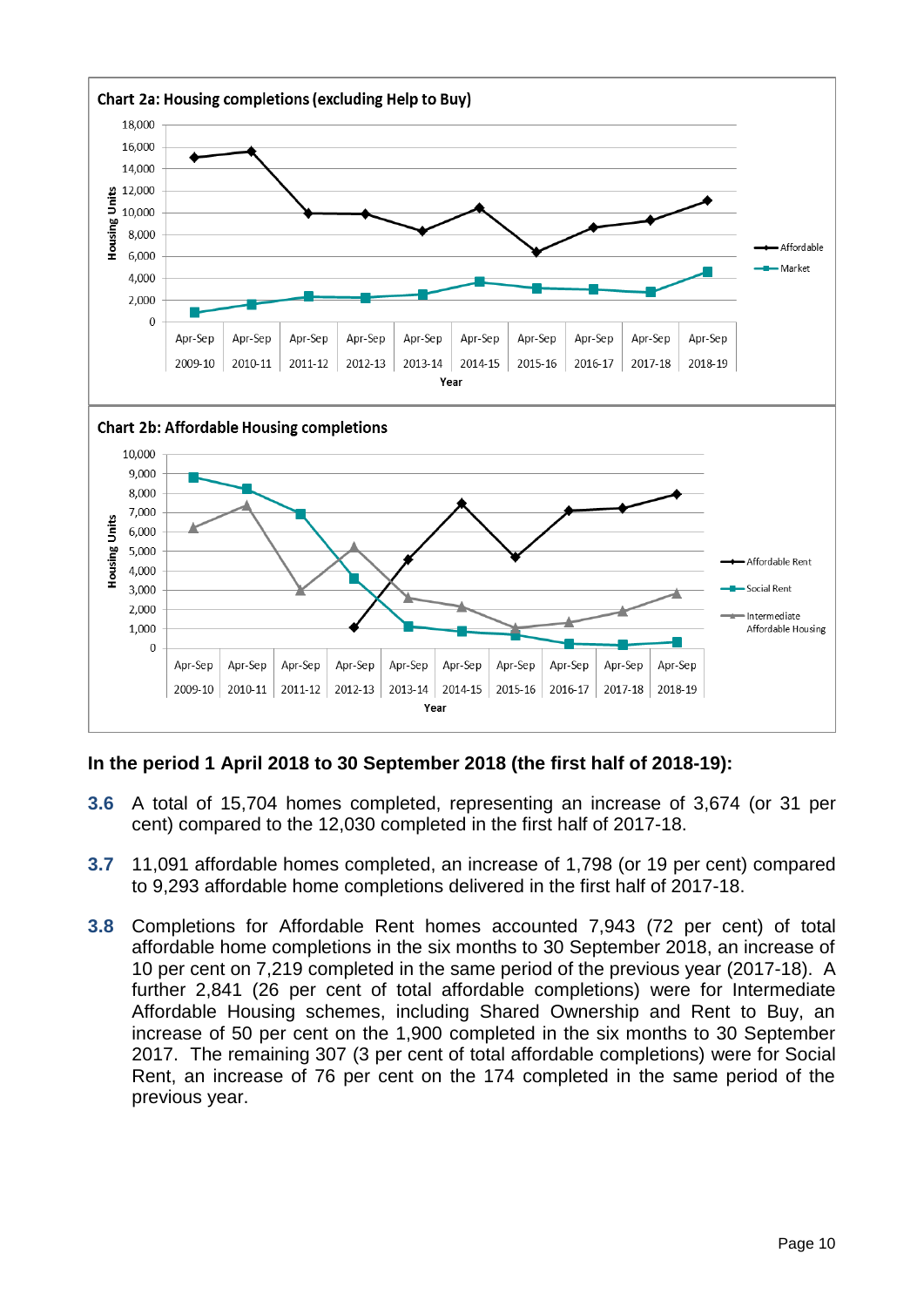

### **In the period 1 April 2018 to 30 September 2018 (the first half of 2018-19):**

- **3.6** A total of 15,704 homes completed, representing an increase of 3,674 (or 31 per cent) compared to the 12,030 completed in the first half of 2017-18.
- **3.7** 11,091 affordable homes completed, an increase of 1,798 (or 19 per cent) compared to 9,293 affordable home completions delivered in the first half of 2017-18.
- **3.8** Completions for Affordable Rent homes accounted 7,943 (72 per cent) of total affordable home completions in the six months to 30 September 2018, an increase of 10 per cent on 7,219 completed in the same period of the previous year (2017-18). A further 2,841 (26 per cent of total affordable completions) were for Intermediate Affordable Housing schemes, including Shared Ownership and Rent to Buy, an increase of 50 per cent on the 1,900 completed in the six months to 30 September 2017. The remaining 307 (3 per cent of total affordable completions) were for Social Rent, an increase of 76 per cent on the 174 completed in the same period of the previous year.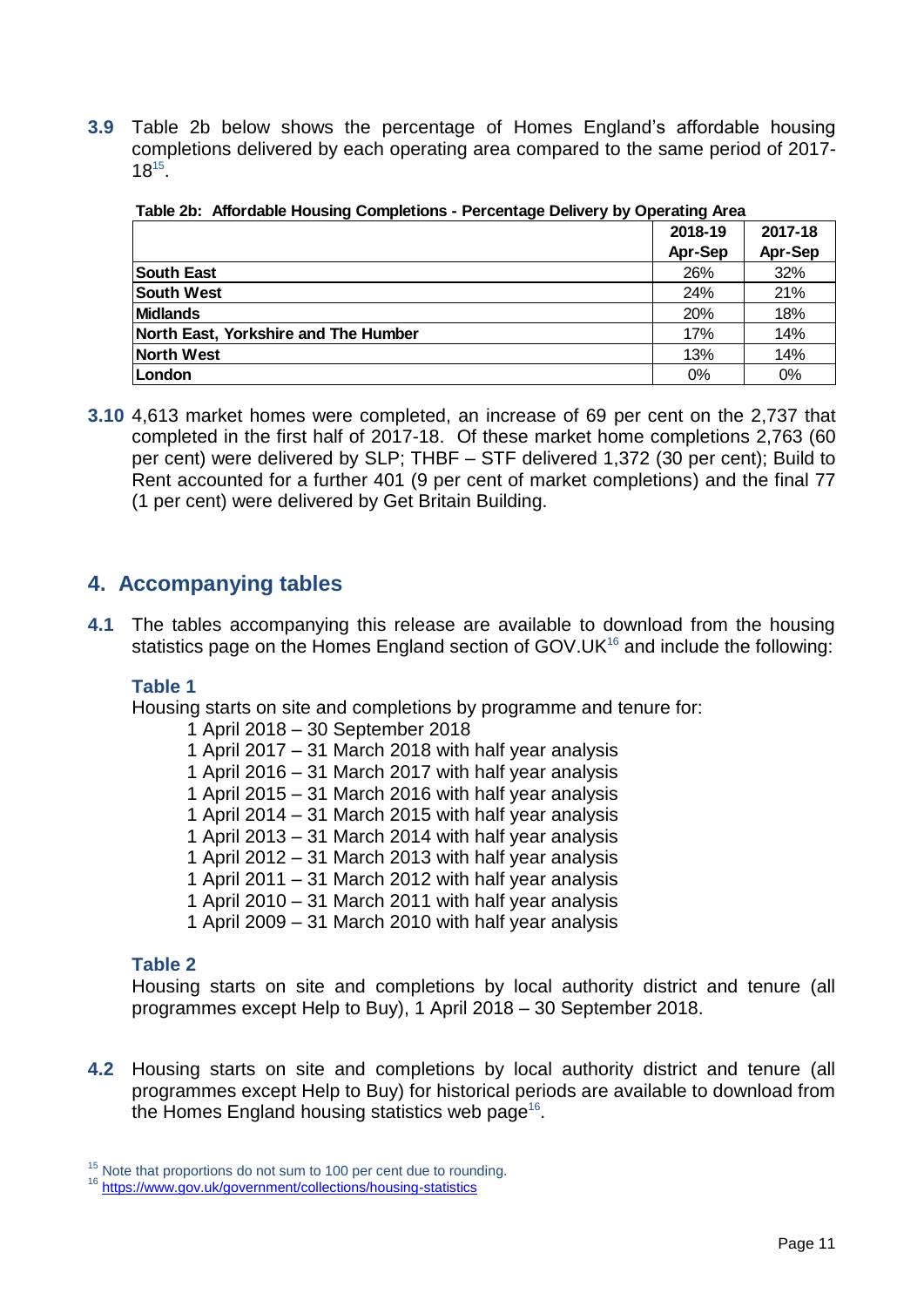**3.9** Table 2b below shows the percentage of Homes England's affordable housing completions delivered by each operating area compared to the same period of 2017- 18 15 .

|                                      | 2018-19 | 2017-18 |
|--------------------------------------|---------|---------|
|                                      | Apr-Sep | Apr-Sep |
| <b>South East</b>                    | 26%     | 32%     |
| <b>South West</b>                    | 24%     | 21%     |
| <b>Midlands</b>                      | 20%     | 18%     |
| North East, Yorkshire and The Humber | 17%     | 14%     |
| <b>North West</b>                    | 13%     | 14%     |
| London                               | 0%      | 0%      |

|  | Table 2b: Affordable Housing Completions - Percentage Delivery by Operating Area |  |
|--|----------------------------------------------------------------------------------|--|
|  |                                                                                  |  |

**3.10** 4,613 market homes were completed, an increase of 69 per cent on the 2,737 that completed in the first half of 2017-18. Of these market home completions 2,763 (60 per cent) were delivered by SLP; THBF – STF delivered 1,372 (30 per cent); Build to Rent accounted for a further 401 (9 per cent of market completions) and the final 77 (1 per cent) were delivered by Get Britain Building.

### <span id="page-10-0"></span>**4. Accompanying tables**

**4.1** The tables accompanying this release are available to download from the housing statistics page on the Homes England section of GOV.UK<sup>16</sup> and include the following:

### **Table 1**

Housing starts on site and completions by programme and tenure for:

- 1 April 2018 30 September 2018
- 1 April 2017 31 March 2018 with half year analysis
- 1 April 2016 31 March 2017 with half year analysis
- 1 April 2015 31 March 2016 with half year analysis
- 1 April 2014 31 March 2015 with half year analysis
- 1 April 2013 31 March 2014 with half year analysis
- 1 April 2012 31 March 2013 with half year analysis
- 1 April 2011 31 March 2012 with half year analysis
- 1 April 2010 31 March 2011 with half year analysis
- 1 April 2009 31 March 2010 with half year analysis

### **Table 2**

Housing starts on site and completions by local authority district and tenure (all programmes except Help to Buy), 1 April 2018 – 30 September 2018.

**4.2** Housing starts on site and completions by local authority district and tenure (all programmes except Help to Buy) for historical periods are available to download from the Homes England housing statistics web page<sup>16</sup>.

 $15$  Note that proportions do not sum to 100 per cent due to rounding.

<sup>16</sup> <https://www.gov.uk/government/collections/housing-statistics>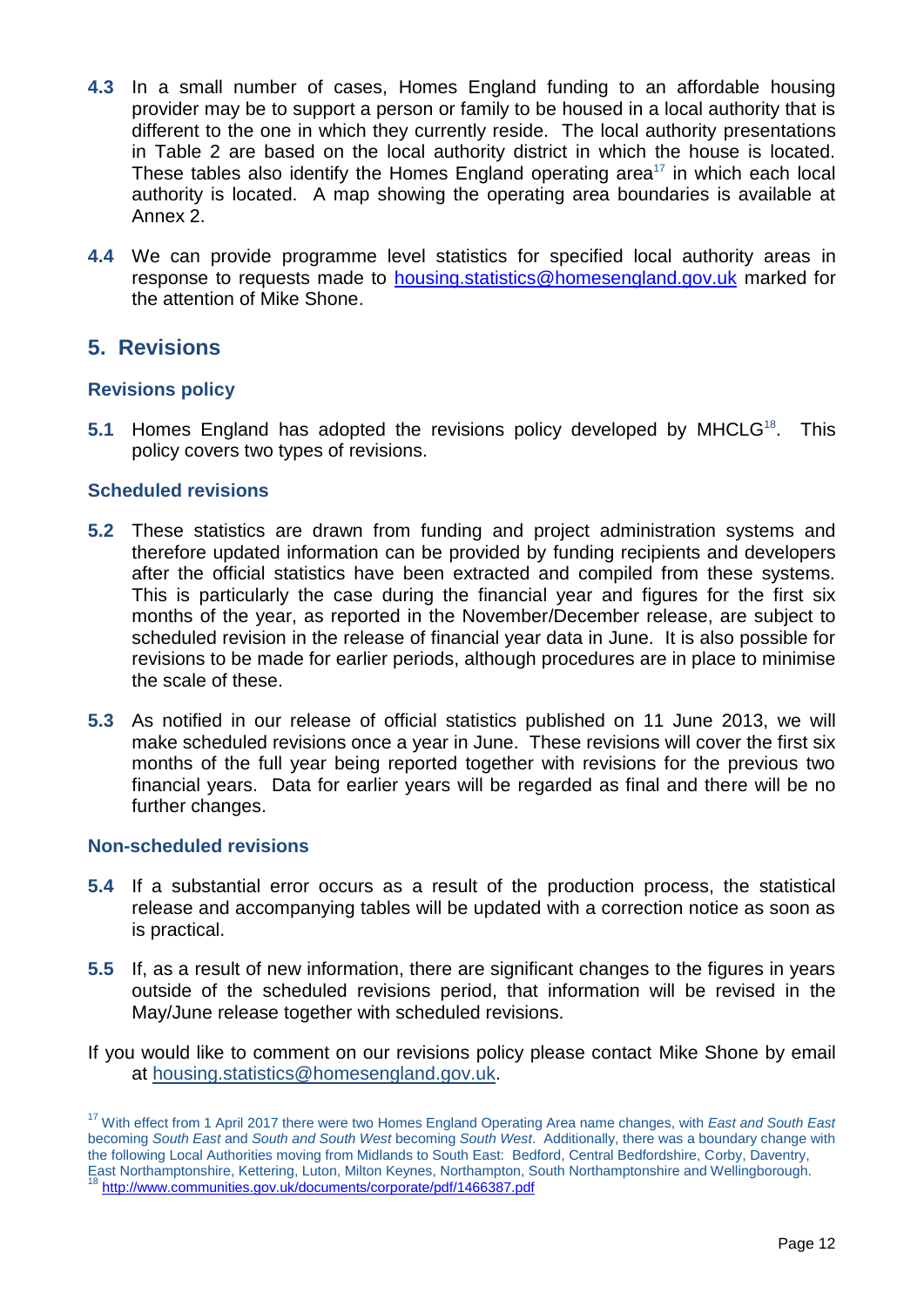- **4.3** In a small number of cases, Homes England funding to an affordable housing provider may be to support a person or family to be housed in a local authority that is different to the one in which they currently reside. The local authority presentations in Table 2 are based on the local authority district in which the house is located. These tables also identify the Homes England operating area<sup>17</sup> in which each local authority is located. A map showing the operating area boundaries is available at Annex 2.
- **4.4** We can provide programme level statistics for specified local authority areas in response to requests made to [housing.statistics@homesengland.gov.uk](mailto:housing.statistics@homesengland.gov.uk) marked for the attention of Mike Shone.

### <span id="page-11-0"></span>**5. Revisions**

### **Revisions policy**

**5.1** Homes England has adopted the revisions policy developed by MHCLG<sup>18</sup>. This policy covers two types of revisions.

### **Scheduled revisions**

- **5.2** These statistics are drawn from funding and project administration systems and therefore updated information can be provided by funding recipients and developers after the official statistics have been extracted and compiled from these systems. This is particularly the case during the financial year and figures for the first six months of the year, as reported in the November/December release, are subject to scheduled revision in the release of financial year data in June. It is also possible for revisions to be made for earlier periods, although procedures are in place to minimise the scale of these.
- **5.3** As notified in our release of official statistics published on 11 June 2013, we will make scheduled revisions once a year in June. These revisions will cover the first six months of the full year being reported together with revisions for the previous two financial years. Data for earlier years will be regarded as final and there will be no further changes.

#### **Non-scheduled revisions**

- **5.4** If a substantial error occurs as a result of the production process, the statistical release and accompanying tables will be updated with a correction notice as soon as is practical.
- **5.5** If, as a result of new information, there are significant changes to the figures in years outside of the scheduled revisions period, that information will be revised in the May/June release together with scheduled revisions.
- If you would like to comment on our revisions policy please contact Mike Shone by email at [housing.statistics@homesengland.gov.uk.](mailto:housing.statistics@hca.gsi.gov.uk)

<sup>17</sup> With effect from 1 April 2017 there were two Homes England Operating Area name changes, with *East and South East* becoming *South East* and *South and South West* becoming *South West*. Additionally, there was a boundary change with the following Local Authorities moving from Midlands to South East: Bedford, Central Bedfordshire, Corby, Daventry, East Northamptonshire, Kettering, Luton, Milton Keynes, Northampton, South Northamptonshire and Wellingborough.

<sup>18</sup> <http://www.communities.gov.uk/documents/corporate/pdf/1466387.pdf>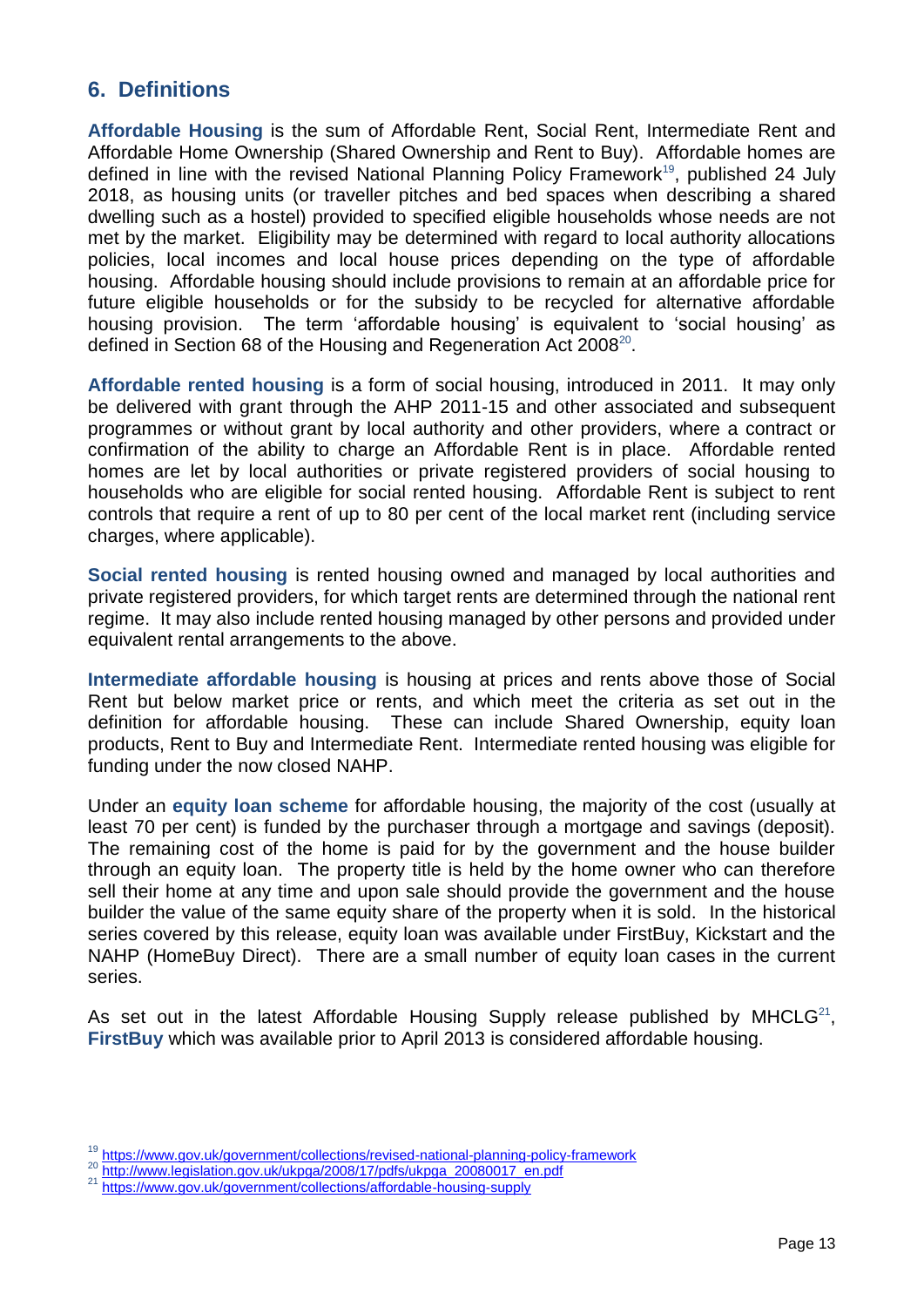### <span id="page-12-0"></span>**6. Definitions**

**Affordable Housing** is the sum of Affordable Rent, Social Rent, Intermediate Rent and Affordable Home Ownership (Shared Ownership and Rent to Buy). Affordable homes are defined in line with the revised National Planning Policy Framework<sup>19</sup>, published 24 July 2018, as housing units (or traveller pitches and bed spaces when describing a shared dwelling such as a hostel) provided to specified eligible households whose needs are not met by the market. Eligibility may be determined with regard to local authority allocations policies, local incomes and local house prices depending on the type of affordable housing. Affordable housing should include provisions to remain at an affordable price for future eligible households or for the subsidy to be recycled for alternative affordable housing provision. The term 'affordable housing' is equivalent to 'social housing' as defined in Section 68 of the Housing and Regeneration Act 2008 $^{20}$ .

**Affordable rented housing** is a form of social housing, introduced in 2011. It may only be delivered with grant through the AHP 2011-15 and other associated and subsequent programmes or without grant by local authority and other providers, where a contract or confirmation of the ability to charge an Affordable Rent is in place. Affordable rented homes are let by local authorities or private registered providers of social housing to households who are eligible for social rented housing. Affordable Rent is subject to rent controls that require a rent of up to 80 per cent of the local market rent (including service charges, where applicable).

**Social rented housing** is rented housing owned and managed by local authorities and private registered providers, for which target rents are determined through the national rent regime. It may also include rented housing managed by other persons and provided under equivalent rental arrangements to the above.

**Intermediate affordable housing** is housing at prices and rents above those of Social Rent but below market price or rents, and which meet the criteria as set out in the definition for affordable housing. These can include Shared Ownership, equity loan products, Rent to Buy and Intermediate Rent. Intermediate rented housing was eligible for funding under the now closed NAHP.

Under an **equity loan scheme** for affordable housing, the majority of the cost (usually at least 70 per cent) is funded by the purchaser through a mortgage and savings (deposit). The remaining cost of the home is paid for by the government and the house builder through an equity loan. The property title is held by the home owner who can therefore sell their home at any time and upon sale should provide the government and the house builder the value of the same equity share of the property when it is sold. In the historical series covered by this release, equity loan was available under FirstBuy, Kickstart and the NAHP (HomeBuy Direct). There are a small number of equity loan cases in the current series.

As set out in the latest Affordable Housing Supply release published by MHCLG $^{21}$ , **FirstBuy** which was available prior to April 2013 is considered affordable housing.

<sup>&</sup>lt;sup>19</sup> <https://www.gov.uk/government/collections/revised-national-planning-policy-framework>

<sup>&</sup>lt;sup>20</sup> [http://www.legislation.gov.uk/ukpga/2008/17/pdfs/ukpga\\_20080017\\_en.pdf](http://www.legislation.gov.uk/ukpga/2008/17/pdfs/ukpga_20080017_en.pdf)

<sup>&</sup>lt;sup>21</sup> <https://www.gov.uk/government/collections/affordable-housing-supply>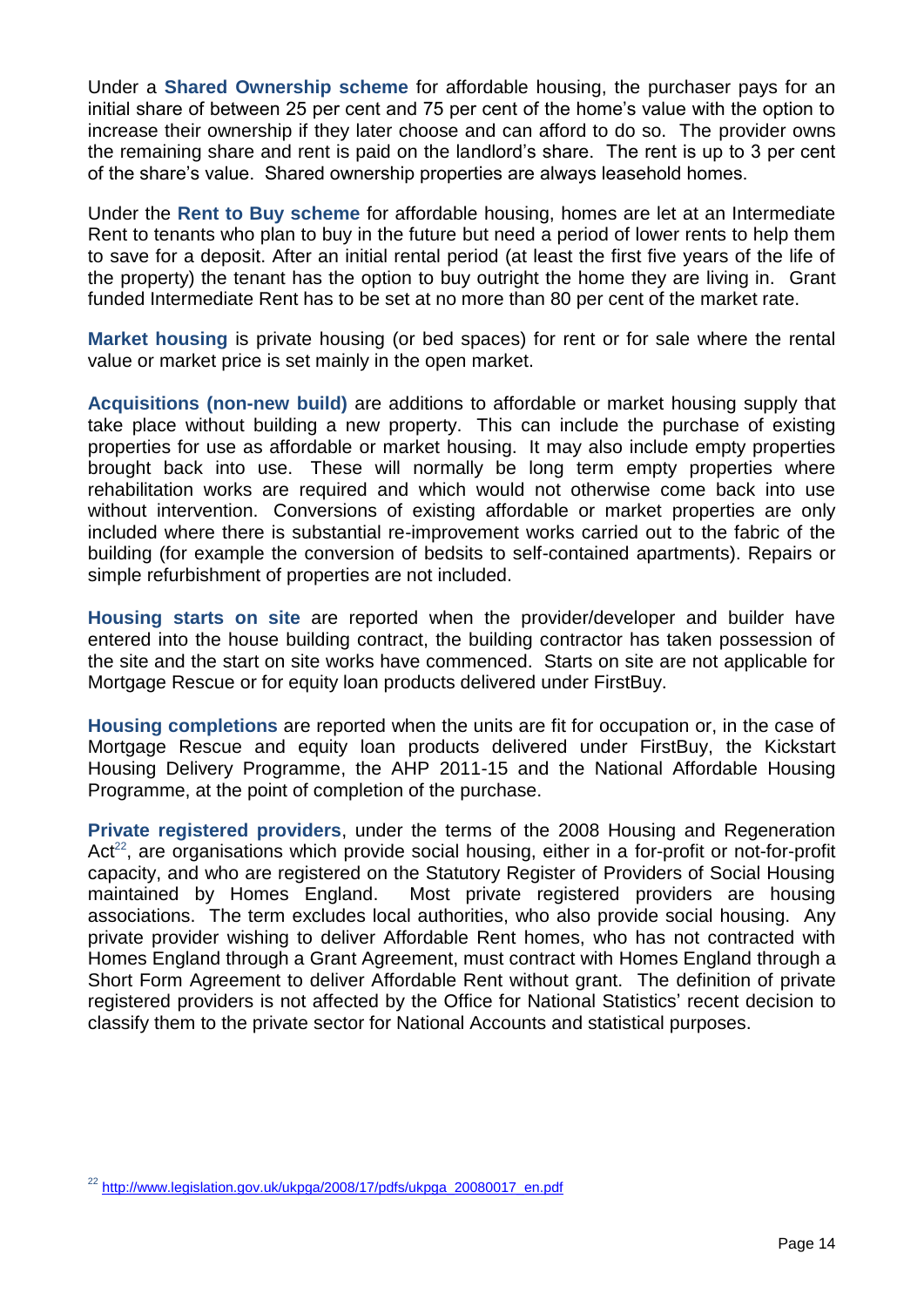Under a **Shared Ownership scheme** for affordable housing, the purchaser pays for an initial share of between 25 per cent and 75 per cent of the home's value with the option to increase their ownership if they later choose and can afford to do so. The provider owns the remaining share and rent is paid on the landlord's share. The rent is up to 3 per cent of the share's value. Shared ownership properties are always leasehold homes.

Under the **Rent to Buy scheme** for affordable housing, homes are let at an Intermediate Rent to tenants who plan to buy in the future but need a period of lower rents to help them to save for a deposit. After an initial rental period (at least the first five years of the life of the property) the tenant has the option to buy outright the home they are living in. Grant funded Intermediate Rent has to be set at no more than 80 per cent of the market rate.

**Market housing** is private housing (or bed spaces) for rent or for sale where the rental value or market price is set mainly in the open market.

**Acquisitions (non-new build)** are additions to affordable or market housing supply that take place without building a new property. This can include the purchase of existing properties for use as affordable or market housing. It may also include empty properties brought back into use. These will normally be long term empty properties where rehabilitation works are required and which would not otherwise come back into use without intervention. Conversions of existing affordable or market properties are only included where there is substantial re-improvement works carried out to the fabric of the building (for example the conversion of bedsits to self-contained apartments). Repairs or simple refurbishment of properties are not included.

**Housing starts on site** are reported when the provider/developer and builder have entered into the house building contract, the building contractor has taken possession of the site and the start on site works have commenced. Starts on site are not applicable for Mortgage Rescue or for equity loan products delivered under FirstBuy.

**Housing completions** are reported when the units are fit for occupation or, in the case of Mortgage Rescue and equity loan products delivered under FirstBuy, the Kickstart Housing Delivery Programme, the AHP 2011-15 and the National Affordable Housing Programme, at the point of completion of the purchase.

**Private registered providers**, under the terms of the 2008 Housing and Regeneration Act<sup>22</sup>, are organisations which provide social housing, either in a for-profit or not-for-profit capacity, and who are registered on the Statutory Register of Providers of Social Housing maintained by Homes England. Most private registered providers are housing associations. The term excludes local authorities, who also provide social housing. Any private provider wishing to deliver Affordable Rent homes, who has not contracted with Homes England through a Grant Agreement, must contract with Homes England through a Short Form Agreement to deliver Affordable Rent without grant. The definition of private registered providers is not affected by the Office for National Statistics' recent decision to classify them to the private sector for National Accounts and statistical purposes.

<sup>&</sup>lt;sup>22</sup> [http://www.legislation.gov.uk/ukpga/2008/17/pdfs/ukpga\\_20080017\\_en.pdf](http://www.legislation.gov.uk/ukpga/2008/17/pdfs/ukpga_20080017_en.pdf)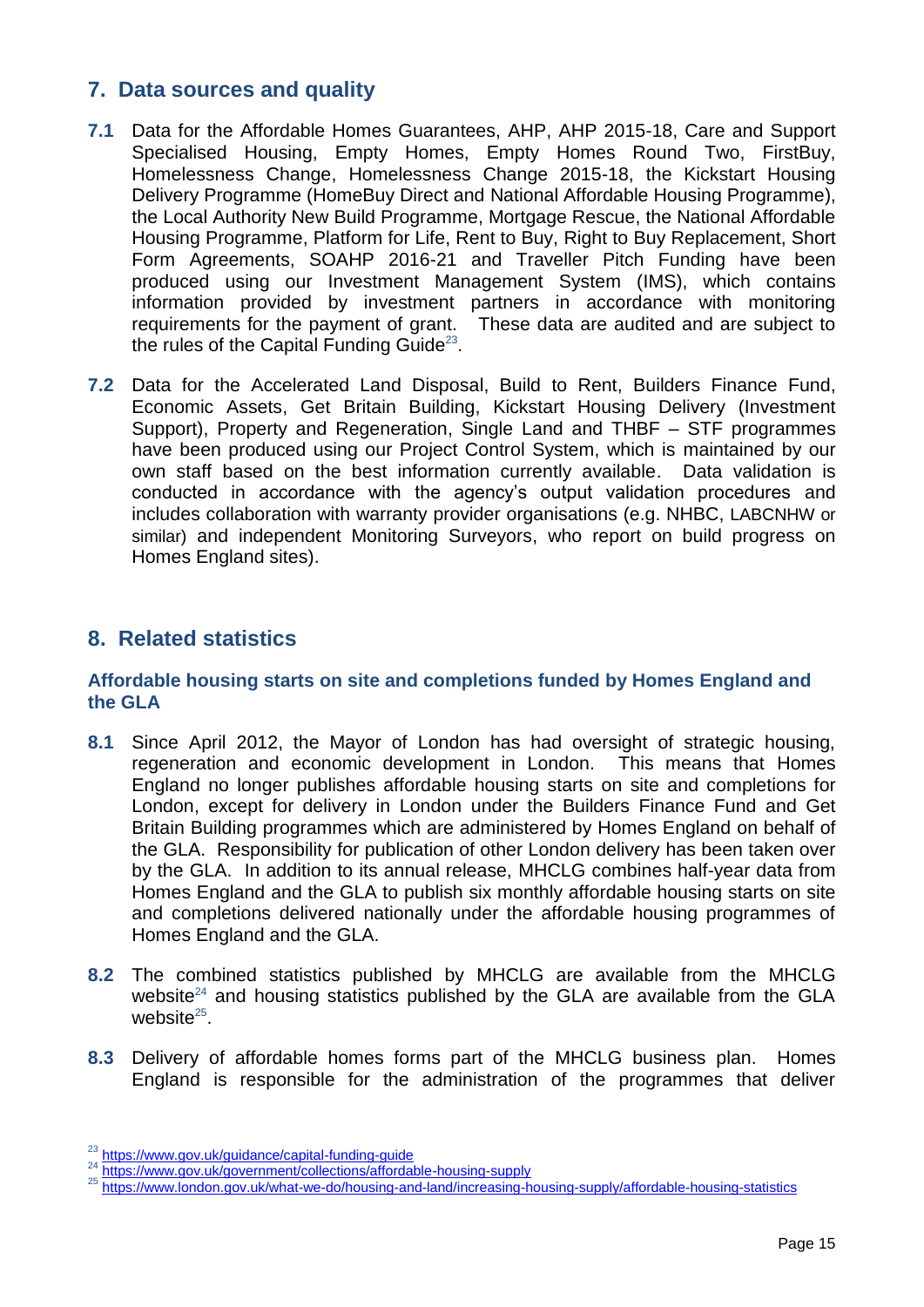### <span id="page-14-0"></span>**7. Data sources and quality**

- **7.1** Data for the Affordable Homes Guarantees, AHP, AHP 2015-18, Care and Support Specialised Housing, Empty Homes, Empty Homes Round Two, FirstBuy, Homelessness Change, Homelessness Change 2015-18, the Kickstart Housing Delivery Programme (HomeBuy Direct and National Affordable Housing Programme), the Local Authority New Build Programme, Mortgage Rescue, the National Affordable Housing Programme, Platform for Life, Rent to Buy, Right to Buy Replacement, Short Form Agreements, SOAHP 2016-21 and Traveller Pitch Funding have been produced using our Investment Management System (IMS), which contains information provided by investment partners in accordance with monitoring requirements for the payment of grant. These data are audited and are subject to the rules of the Capital Funding Guide<sup>23</sup>.
- **7.2** Data for the Accelerated Land Disposal, Build to Rent, Builders Finance Fund, Economic Assets, Get Britain Building, Kickstart Housing Delivery (Investment Support), Property and Regeneration, Single Land and THBF – STF programmes have been produced using our Project Control System, which is maintained by our own staff based on the best information currently available. Data validation is conducted in accordance with the agency's output validation procedures and includes collaboration with warranty provider organisations (e.g. NHBC, LABCNHW or similar) and independent Monitoring Surveyors, who report on build progress on Homes England sites).

### <span id="page-14-1"></span>**8. Related statistics**

### **Affordable housing starts on site and completions funded by Homes England and the GLA**

- **8.1** Since April 2012, the Mayor of London has had oversight of strategic housing, regeneration and economic development in London. This means that Homes England no longer publishes affordable housing starts on site and completions for London, except for delivery in London under the Builders Finance Fund and Get Britain Building programmes which are administered by Homes England on behalf of the GLA. Responsibility for publication of other London delivery has been taken over by the GLA. In addition to its annual release, MHCLG combines half-year data from Homes England and the GLA to publish six monthly affordable housing starts on site and completions delivered nationally under the affordable housing programmes of Homes England and the GLA.
- **8.2** The combined statistics published by MHCLG are available from the MHCLG website<sup>24</sup> and housing statistics published by the GLA are available from the GLA website $25$ .
- **8.3** Delivery of affordable homes forms part of the MHCLG business plan. Homes England is responsible for the administration of the programmes that deliver

<sup>&</sup>lt;sup>23</sup> <https://www.gov.uk/guidance/capital-funding-guide>

<sup>&</sup>lt;sup>24</sup> <https://www.gov.uk/government/collections/affordable-housing-supply>

<sup>25</sup> <https://www.london.gov.uk/what-we-do/housing-and-land/increasing-housing-supply/affordable-housing-statistics>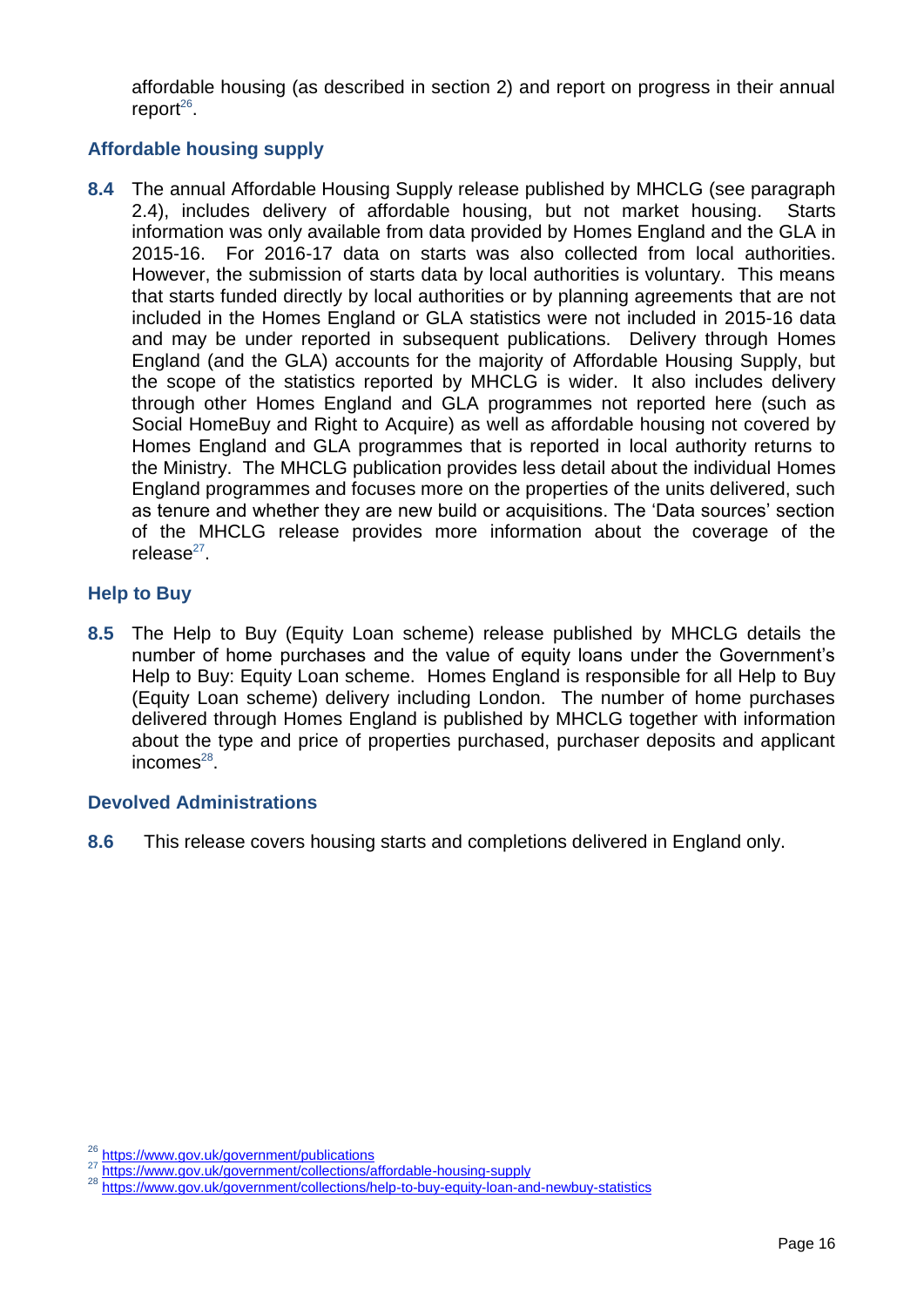affordable housing (as described in section 2) and report on progress in their annual  $report<sup>26</sup>$ .

### **Affordable housing supply**

**8.4** The annual Affordable Housing Supply release published by MHCLG (see paragraph 2.4), includes delivery of affordable housing, but not market housing. Starts information was only available from data provided by Homes England and the GLA in 2015-16. For 2016-17 data on starts was also collected from local authorities. However, the submission of starts data by local authorities is voluntary. This means that starts funded directly by local authorities or by planning agreements that are not included in the Homes England or GLA statistics were not included in 2015-16 data and may be under reported in subsequent publications. Delivery through Homes England (and the GLA) accounts for the majority of Affordable Housing Supply, but the scope of the statistics reported by MHCLG is wider. It also includes delivery through other Homes England and GLA programmes not reported here (such as Social HomeBuy and Right to Acquire) as well as affordable housing not covered by Homes England and GLA programmes that is reported in local authority returns to the Ministry. The MHCLG publication provides less detail about the individual Homes England programmes and focuses more on the properties of the units delivered, such as tenure and whether they are new build or acquisitions. The 'Data sources' section of the MHCLG release provides more information about the coverage of the release<sup>27</sup>.

### **Help to Buy**

**8.5** The Help to Buy (Equity Loan scheme) release published by MHCLG details the number of home purchases and the value of equity loans under the Government's Help to Buy: Equity Loan scheme. Homes England is responsible for all Help to Buy (Equity Loan scheme) delivery including London. The number of home purchases delivered through Homes England is published by MHCLG together with information about the type and price of properties purchased, purchaser deposits and applicant incomes $^{28}$ .

### **Devolved Administrations**

**8.6** This release covers housing starts and completions delivered in England only.

<sup>&</sup>lt;sup>26</sup> [https://www.gov.uk/government/publications](https://www.gov.uk/search?q=annual+report&filter_organisations%5B%5D=homes-and-communities-agency)

<sup>&</sup>lt;sup>27</sup> <https://www.gov.uk/government/collections/affordable-housing-supply>

<sup>28</sup> <https://www.gov.uk/government/collections/help-to-buy-equity-loan-and-newbuy-statistics>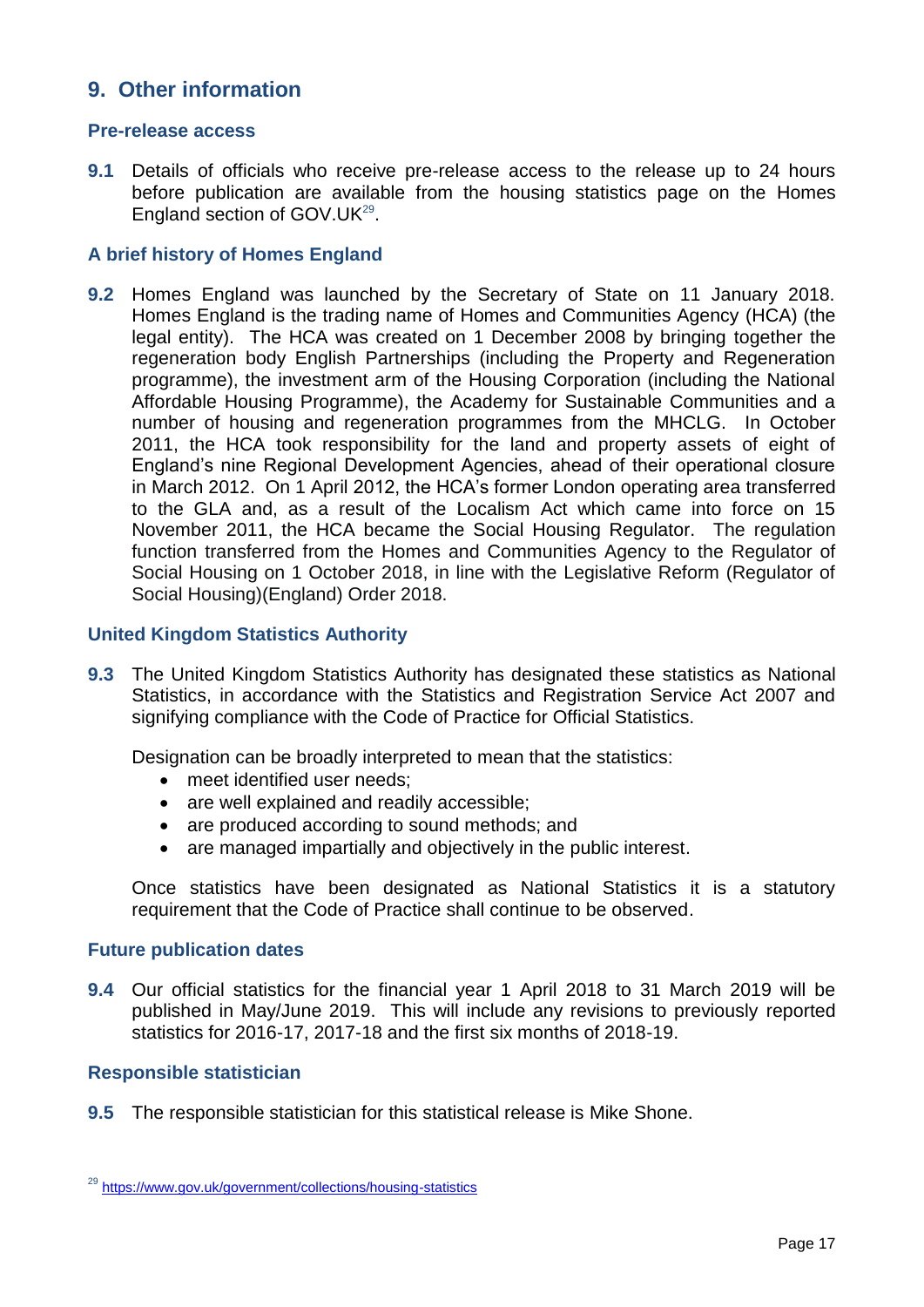### <span id="page-16-0"></span>**9. Other information**

#### **Pre-release access**

**9.1** Details of officials who receive pre-release access to the release up to 24 hours before publication are available from the housing statistics page on the Homes England section of GOV.UK<sup>29</sup>.

### **A brief history of Homes England**

**9.2** Homes England was launched by the Secretary of State on 11 January 2018. Homes England is the trading name of Homes and Communities Agency (HCA) (the legal entity). The HCA was created on 1 December 2008 by bringing together the regeneration body English Partnerships (including the Property and Regeneration programme), the investment arm of the Housing Corporation (including the National Affordable Housing Programme), the Academy for Sustainable Communities and a number of housing and regeneration programmes from the MHCLG. In October 2011, the HCA took responsibility for the land and property assets of eight of England's nine Regional Development Agencies, ahead of their operational closure in March 2012. On 1 April 2012, the HCA's former London operating area transferred to the GLA and, as a result of the Localism Act which came into force on 15 November 2011, the HCA became the Social Housing Regulator. The regulation function transferred from the Homes and Communities Agency to the Regulator of Social Housing on 1 October 2018, in line with the Legislative Reform (Regulator of Social Housing)(England) Order 2018.

#### **United Kingdom Statistics Authority**

**9.3** The United Kingdom Statistics Authority has designated these statistics as National Statistics, in accordance with the Statistics and Registration Service Act 2007 and signifying compliance with the Code of Practice for Official Statistics.

Designation can be broadly interpreted to mean that the statistics:

- meet identified user needs;
- are well explained and readily accessible;
- are produced according to sound methods; and
- are managed impartially and objectively in the public interest.

Once statistics have been designated as National Statistics it is a statutory requirement that the Code of Practice shall continue to be observed.

#### **Future publication dates**

**9.4** Our official statistics for the financial year 1 April 2018 to 31 March 2019 will be published in May/June 2019. This will include any revisions to previously reported statistics for 2016-17, 2017-18 and the first six months of 2018-19.

### **Responsible statistician**

**9.5** The responsible statistician for this statistical release is Mike Shone.

<sup>29</sup> <https://www.gov.uk/government/collections/housing-statistics>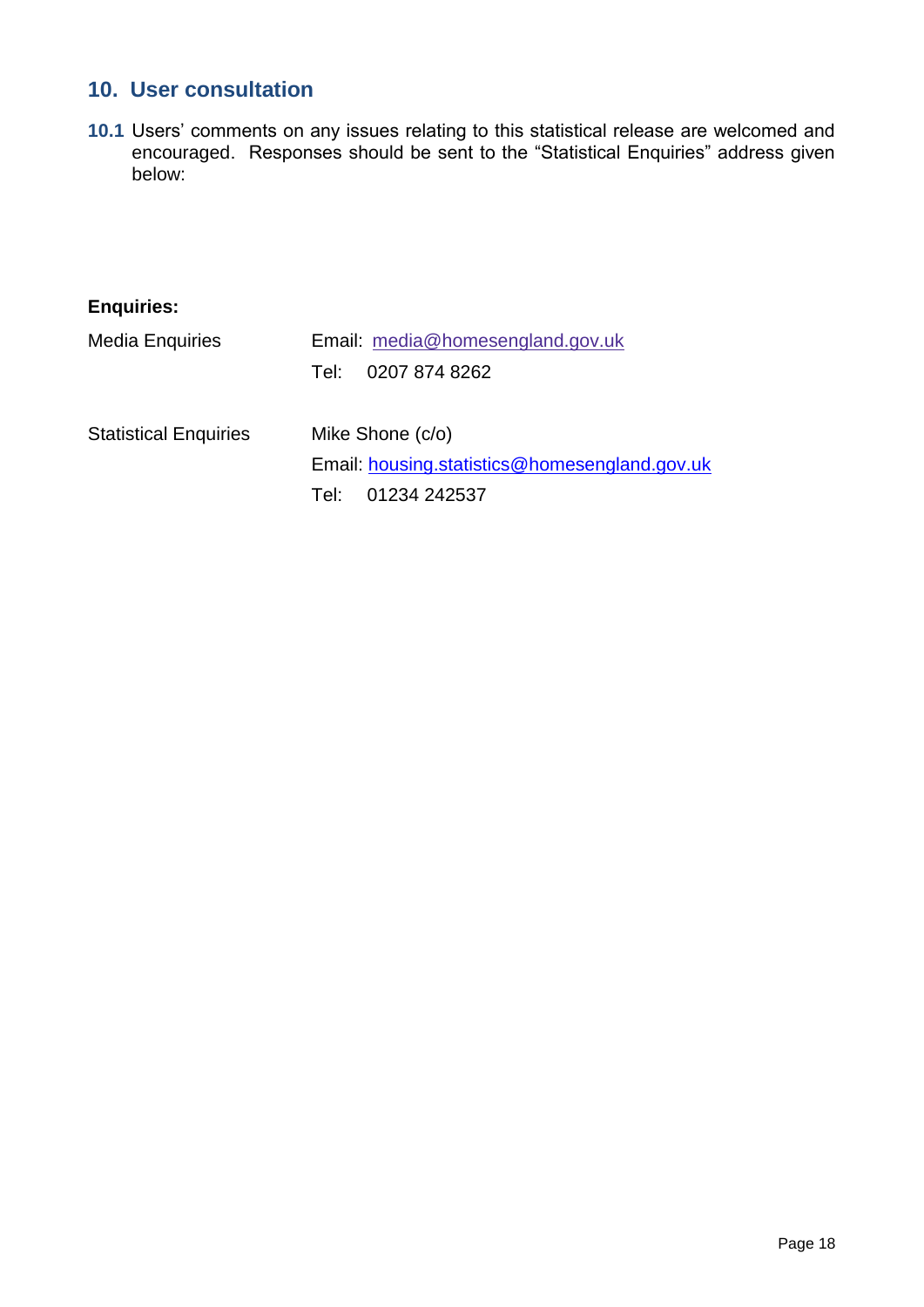## <span id="page-17-0"></span>**10. User consultation**

**10.1** Users' comments on any issues relating to this statistical release are welcomed and encouraged. Responses should be sent to the "Statistical Enquiries" address given below:

| <b>Enquiries:</b>            |                                               |
|------------------------------|-----------------------------------------------|
| <b>Media Enquiries</b>       | Email: media@homesengland.gov.uk              |
|                              | 0207 874 8262<br>Tel:                         |
| <b>Statistical Enquiries</b> | Mike Shone (c/o)                              |
|                              | Email: housing.statistics@homesengland.gov.uk |
|                              | 01234 242537<br>Tel:⊹                         |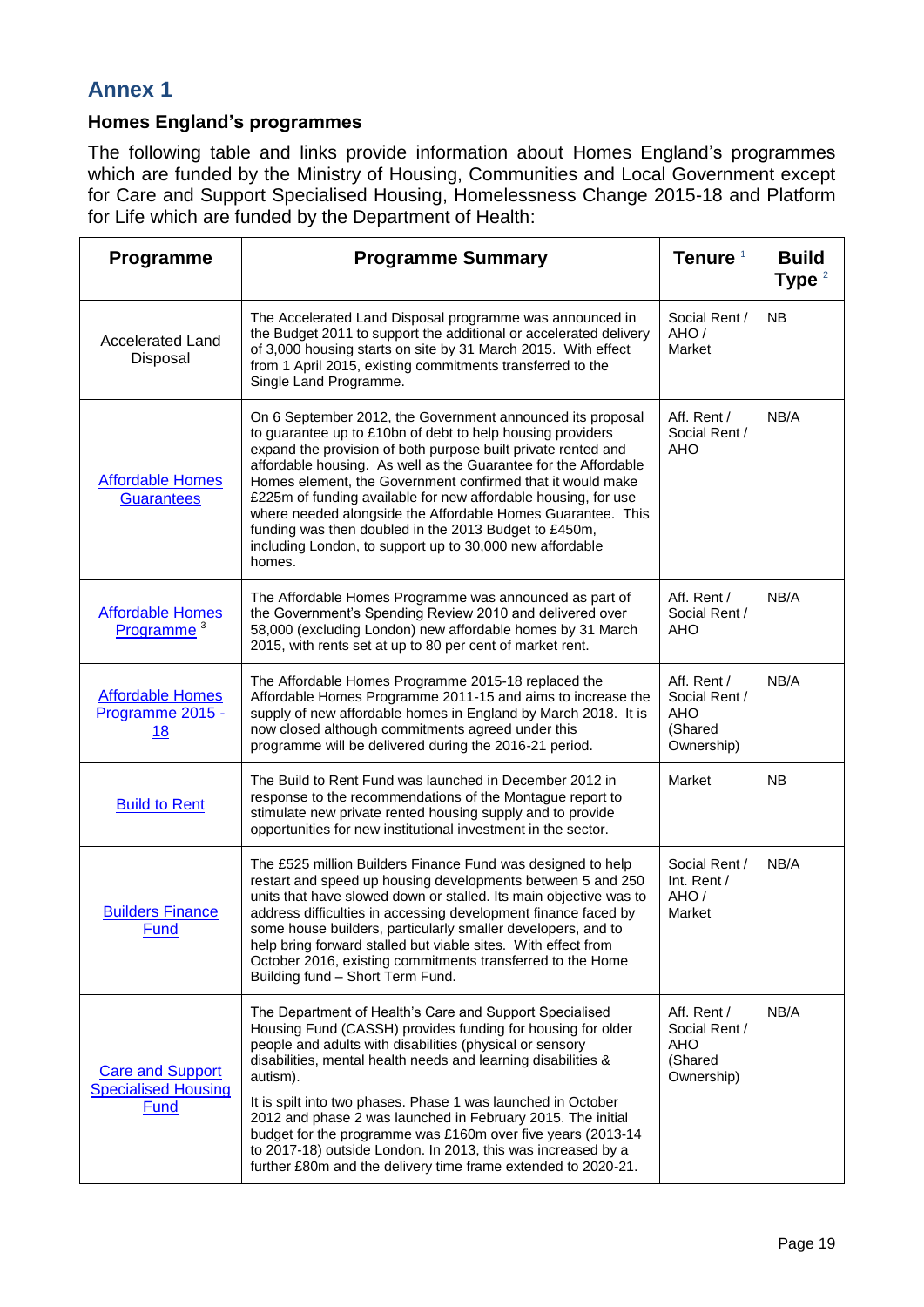### <span id="page-18-0"></span>**Annex 1**

### **Homes England's programmes**

The following table and links provide information about Homes England's programmes which are funded by the Ministry of Housing, Communities and Local Government except for Care and Support Specialised Housing, Homelessness Change 2015-18 and Platform for Life which are funded by the Department of Health:

| Programme                                                     | <b>Programme Summary</b>                                                                                                                                                                                                                                                                                                                                                                                                                                                                                                                                                                   | Tenure <sup>1</sup>                                                 | <b>Build</b><br>Type $2$ |
|---------------------------------------------------------------|--------------------------------------------------------------------------------------------------------------------------------------------------------------------------------------------------------------------------------------------------------------------------------------------------------------------------------------------------------------------------------------------------------------------------------------------------------------------------------------------------------------------------------------------------------------------------------------------|---------------------------------------------------------------------|--------------------------|
| <b>Accelerated Land</b><br>Disposal                           | The Accelerated Land Disposal programme was announced in<br>the Budget 2011 to support the additional or accelerated delivery<br>of 3,000 housing starts on site by 31 March 2015. With effect<br>from 1 April 2015, existing commitments transferred to the<br>Single Land Programme.                                                                                                                                                                                                                                                                                                     | Social Rent /<br>AHO/<br>Market                                     | <b>NB</b>                |
| <b>Affordable Homes</b><br><b>Guarantees</b>                  | On 6 September 2012, the Government announced its proposal<br>to guarantee up to £10bn of debt to help housing providers<br>expand the provision of both purpose built private rented and<br>affordable housing. As well as the Guarantee for the Affordable<br>Homes element, the Government confirmed that it would make<br>£225m of funding available for new affordable housing, for use<br>where needed alongside the Affordable Homes Guarantee. This<br>funding was then doubled in the 2013 Budget to £450m,<br>including London, to support up to 30,000 new affordable<br>homes. | Aff. Rent /<br>Social Rent /<br><b>AHO</b>                          | NB/A                     |
| <b>Affordable Homes</b><br>Programme <sup>3</sup>             | The Affordable Homes Programme was announced as part of<br>the Government's Spending Review 2010 and delivered over<br>58,000 (excluding London) new affordable homes by 31 March<br>2015, with rents set at up to 80 per cent of market rent.                                                                                                                                                                                                                                                                                                                                             | Aff. Rent /<br>Social Rent /<br>AHO                                 | NB/A                     |
| <b>Affordable Homes</b><br>Programme 2015 -<br>18             | The Affordable Homes Programme 2015-18 replaced the<br>Affordable Homes Programme 2011-15 and aims to increase the<br>supply of new affordable homes in England by March 2018. It is<br>now closed although commitments agreed under this<br>programme will be delivered during the 2016-21 period.                                                                                                                                                                                                                                                                                        | Aff. Rent /<br>Social Rent /<br><b>AHO</b><br>(Shared<br>Ownership) | NB/A                     |
| <b>Build to Rent</b>                                          | The Build to Rent Fund was launched in December 2012 in<br>response to the recommendations of the Montague report to<br>stimulate new private rented housing supply and to provide<br>opportunities for new institutional investment in the sector.                                                                                                                                                                                                                                                                                                                                        | Market                                                              | <b>NB</b>                |
| <b>Builders Finance</b><br>Fund                               | The £525 million Builders Finance Fund was designed to help<br>restart and speed up housing developments between 5 and 250<br>units that have slowed down or stalled. Its main objective was to<br>address difficulties in accessing development finance faced by<br>some house builders, particularly smaller developers, and to<br>help bring forward stalled but viable sites. With effect from<br>October 2016, existing commitments transferred to the Home<br>Building fund - Short Term Fund.                                                                                       | Social Rent /<br>Int. Rent /<br>AHO/<br>Market                      | NB/A                     |
| <b>Care and Support</b><br><b>Specialised Housing</b><br>Fund | The Department of Health's Care and Support Specialised<br>Housing Fund (CASSH) provides funding for housing for older<br>people and adults with disabilities (physical or sensory<br>disabilities, mental health needs and learning disabilities &<br>autism).<br>It is spilt into two phases. Phase 1 was launched in October<br>2012 and phase 2 was launched in February 2015. The initial<br>budget for the programme was £160m over five years (2013-14                                                                                                                              | Aff. Rent /<br>Social Rent /<br>AHO<br>(Shared<br>Ownership)        | NB/A                     |
|                                                               | to 2017-18) outside London. In 2013, this was increased by a<br>further £80m and the delivery time frame extended to 2020-21.                                                                                                                                                                                                                                                                                                                                                                                                                                                              |                                                                     |                          |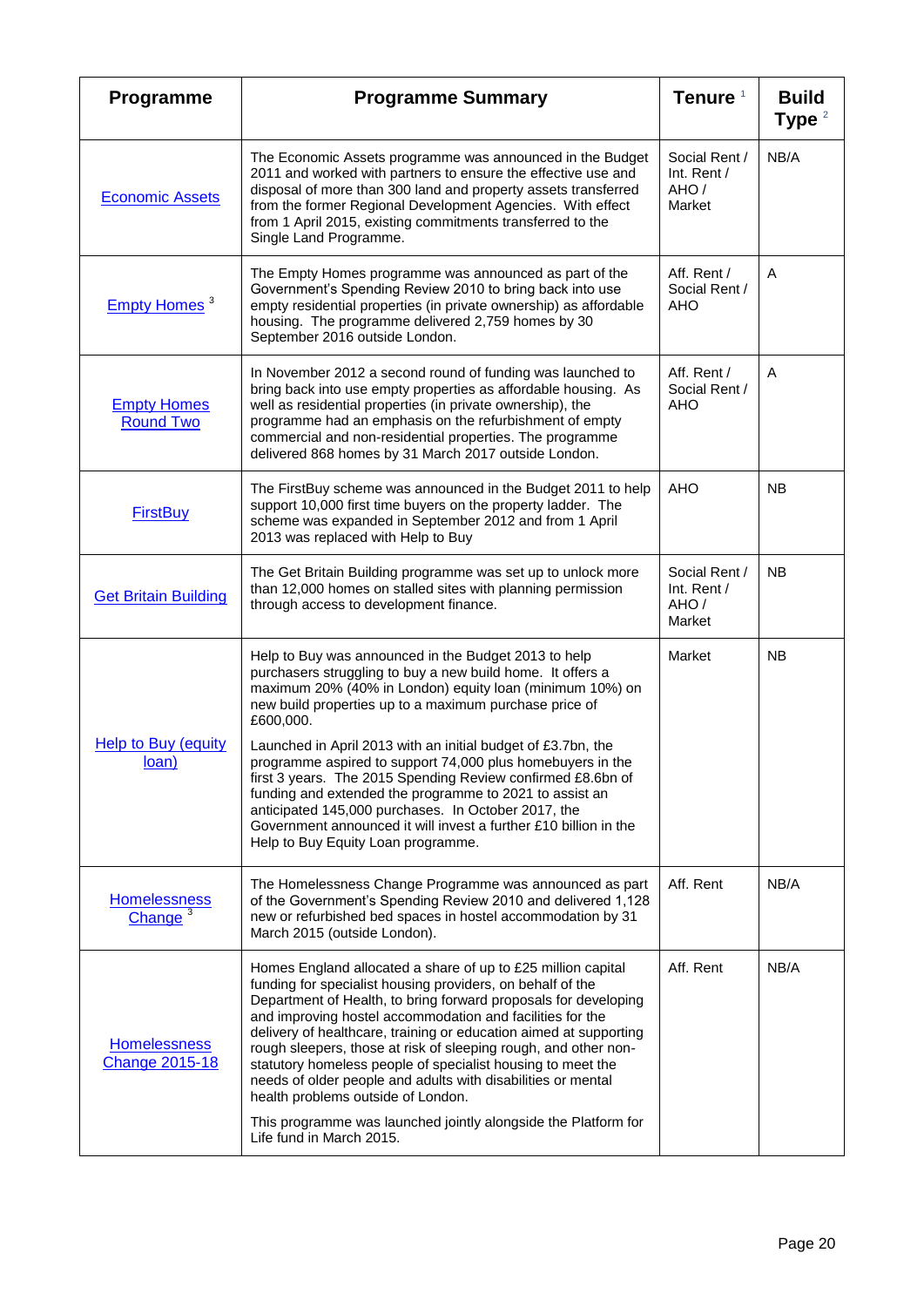| Programme                                    | <b>Programme Summary</b>                                                                                                                                                                                                                                                                                                                                                                                                                                                                                                                                                                                                                                                       | Tenure <sup>1</sup>                            | <b>Build</b><br>Type $2$ |
|----------------------------------------------|--------------------------------------------------------------------------------------------------------------------------------------------------------------------------------------------------------------------------------------------------------------------------------------------------------------------------------------------------------------------------------------------------------------------------------------------------------------------------------------------------------------------------------------------------------------------------------------------------------------------------------------------------------------------------------|------------------------------------------------|--------------------------|
| <b>Economic Assets</b>                       | The Economic Assets programme was announced in the Budget<br>2011 and worked with partners to ensure the effective use and<br>disposal of more than 300 land and property assets transferred<br>from the former Regional Development Agencies. With effect<br>from 1 April 2015, existing commitments transferred to the<br>Single Land Programme.                                                                                                                                                                                                                                                                                                                             | Social Rent /<br>Int. Rent /<br>AHO/<br>Market | NB/A                     |
| Empty Homes <sup>3</sup>                     | The Empty Homes programme was announced as part of the<br>Government's Spending Review 2010 to bring back into use<br>empty residential properties (in private ownership) as affordable<br>housing. The programme delivered 2,759 homes by 30<br>September 2016 outside London.                                                                                                                                                                                                                                                                                                                                                                                                | Aff. Rent /<br>Social Rent /<br>AHO            | A                        |
| <b>Empty Homes</b><br><b>Round Two</b>       | In November 2012 a second round of funding was launched to<br>bring back into use empty properties as affordable housing. As<br>well as residential properties (in private ownership), the<br>programme had an emphasis on the refurbishment of empty<br>commercial and non-residential properties. The programme<br>delivered 868 homes by 31 March 2017 outside London.                                                                                                                                                                                                                                                                                                      | Aff. Rent /<br>Social Rent /<br>AHO            | A                        |
| <b>FirstBuy</b>                              | The FirstBuy scheme was announced in the Budget 2011 to help<br>support 10,000 first time buyers on the property ladder. The<br>scheme was expanded in September 2012 and from 1 April<br>2013 was replaced with Help to Buy                                                                                                                                                                                                                                                                                                                                                                                                                                                   | <b>AHO</b>                                     | NB.                      |
| <b>Get Britain Building</b>                  | The Get Britain Building programme was set up to unlock more<br>than 12,000 homes on stalled sites with planning permission<br>through access to development finance.                                                                                                                                                                                                                                                                                                                                                                                                                                                                                                          | Social Rent /<br>Int. Rent /<br>AHO/<br>Market | NB                       |
| <b>Help to Buy (equity)</b><br>loan)         | Help to Buy was announced in the Budget 2013 to help<br>purchasers struggling to buy a new build home. It offers a<br>maximum 20% (40% in London) equity loan (minimum 10%) on<br>new build properties up to a maximum purchase price of<br>£600,000.<br>Launched in April 2013 with an initial budget of £3.7bn, the<br>programme aspired to support 74,000 plus homebuyers in the<br>first 3 years. The 2015 Spending Review confirmed £8.6bn of<br>funding and extended the programme to 2021 to assist an<br>anticipated 145,000 purchases. In October 2017, the<br>Government announced it will invest a further £10 billion in the<br>Help to Buy Equity Loan programme. | Market                                         | <b>NB</b>                |
| <b>Homelessness</b><br>Change $3$            | The Homelessness Change Programme was announced as part<br>of the Government's Spending Review 2010 and delivered 1,128<br>new or refurbished bed spaces in hostel accommodation by 31<br>March 2015 (outside London).                                                                                                                                                                                                                                                                                                                                                                                                                                                         | Aff. Rent                                      | NB/A                     |
| <b>Homelessness</b><br><b>Change 2015-18</b> | Homes England allocated a share of up to £25 million capital<br>funding for specialist housing providers, on behalf of the<br>Department of Health, to bring forward proposals for developing<br>and improving hostel accommodation and facilities for the<br>delivery of healthcare, training or education aimed at supporting<br>rough sleepers, those at risk of sleeping rough, and other non-<br>statutory homeless people of specialist housing to meet the<br>needs of older people and adults with disabilities or mental<br>health problems outside of London.<br>This programme was launched jointly alongside the Platform for<br>Life fund in March 2015.          | Aff. Rent                                      | NB/A                     |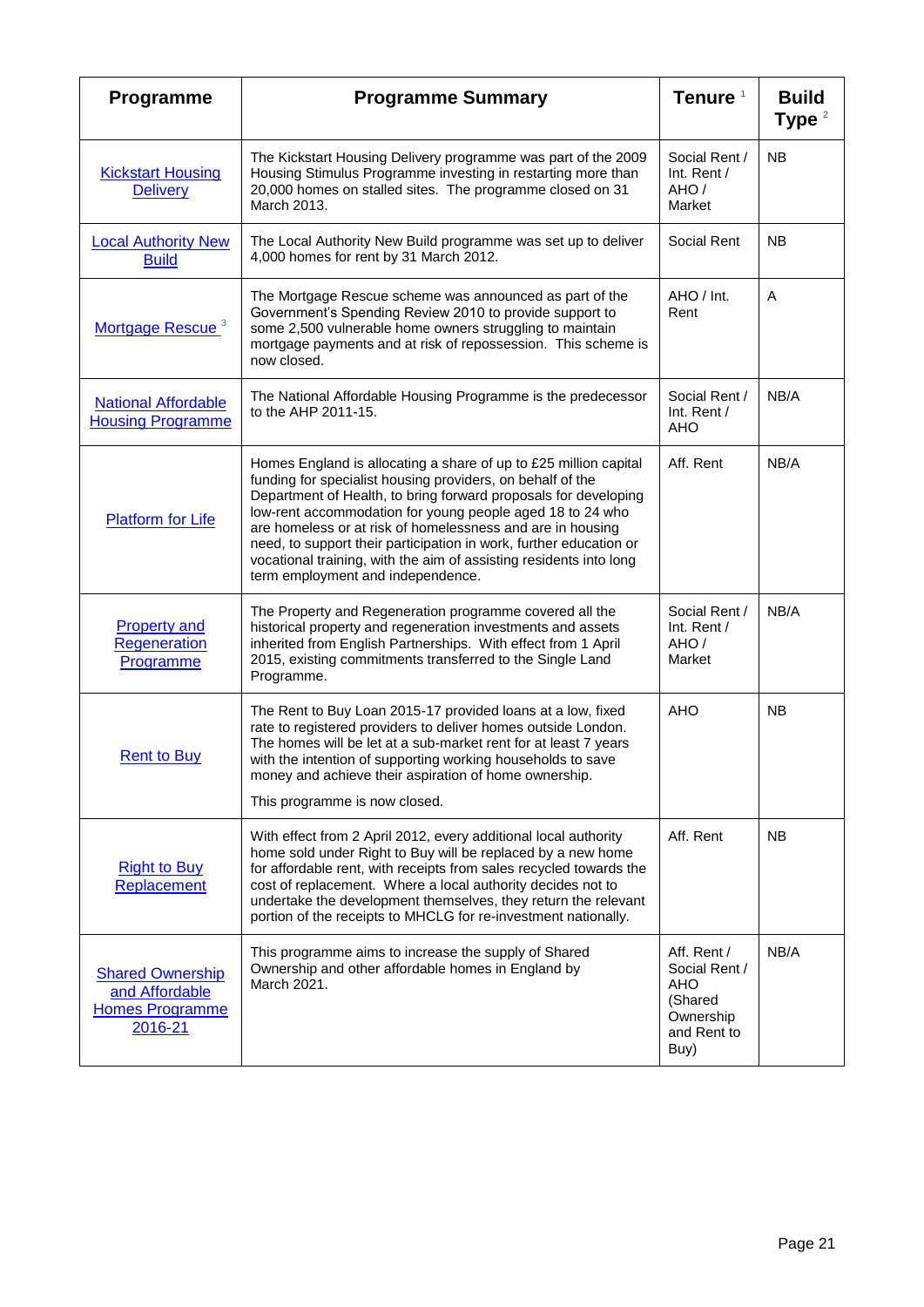| Programme                                                                      | <b>Programme Summary</b>                                                                                                                                                                                                                                                                                                                                                                                                                                                                                      | Tenure <sup>1</sup>                                                                | <b>Build</b><br>Type $2$ |
|--------------------------------------------------------------------------------|---------------------------------------------------------------------------------------------------------------------------------------------------------------------------------------------------------------------------------------------------------------------------------------------------------------------------------------------------------------------------------------------------------------------------------------------------------------------------------------------------------------|------------------------------------------------------------------------------------|--------------------------|
| <b>Kickstart Housing</b><br><b>Delivery</b>                                    | The Kickstart Housing Delivery programme was part of the 2009<br>Housing Stimulus Programme investing in restarting more than<br>20,000 homes on stalled sites. The programme closed on 31<br>March 2013.                                                                                                                                                                                                                                                                                                     | Social Rent /<br>Int. Rent /<br>AHO/<br>Market                                     | <b>NB</b>                |
| <b>Local Authority New</b><br><b>Build</b>                                     | The Local Authority New Build programme was set up to deliver<br>4,000 homes for rent by 31 March 2012.                                                                                                                                                                                                                                                                                                                                                                                                       | Social Rent                                                                        | <b>NB</b>                |
| Mortgage Rescue <sup>3</sup>                                                   | The Mortgage Rescue scheme was announced as part of the<br>Government's Spending Review 2010 to provide support to<br>some 2,500 vulnerable home owners struggling to maintain<br>mortgage payments and at risk of repossession. This scheme is<br>now closed.                                                                                                                                                                                                                                                | AHO / Int.<br>Rent                                                                 | Α                        |
| <b>National Affordable</b><br><b>Housing Programme</b>                         | The National Affordable Housing Programme is the predecessor<br>to the AHP 2011-15.                                                                                                                                                                                                                                                                                                                                                                                                                           | Social Rent /<br>Int. Rent /<br>AHO                                                | NB/A                     |
| <b>Platform for Life</b>                                                       | Homes England is allocating a share of up to £25 million capital<br>funding for specialist housing providers, on behalf of the<br>Department of Health, to bring forward proposals for developing<br>low-rent accommodation for young people aged 18 to 24 who<br>are homeless or at risk of homelessness and are in housing<br>need, to support their participation in work, further education or<br>vocational training, with the aim of assisting residents into long<br>term employment and independence. | Aff. Rent                                                                          | NB/A                     |
| <b>Property and</b><br><b>Regeneration</b><br>Programme                        | The Property and Regeneration programme covered all the<br>historical property and regeneration investments and assets<br>inherited from English Partnerships. With effect from 1 April<br>2015, existing commitments transferred to the Single Land<br>Programme.                                                                                                                                                                                                                                            | Social Rent /<br>Int. Rent /<br>AHO/<br>Market                                     | NB/A                     |
| <b>Rent to Buy</b>                                                             | The Rent to Buy Loan 2015-17 provided loans at a low, fixed<br>rate to registered providers to deliver homes outside London.<br>The homes will be let at a sub-market rent for at least 7 years<br>with the intention of supporting working households to save<br>money and achieve their aspiration of home ownership.<br>This programme is now closed.                                                                                                                                                      | <b>AHO</b>                                                                         | <b>NB</b>                |
| <b>Right to Buy</b><br>Replacement                                             | With effect from 2 April 2012, every additional local authority<br>home sold under Right to Buy will be replaced by a new home<br>for affordable rent, with receipts from sales recycled towards the<br>cost of replacement. Where a local authority decides not to<br>undertake the development themselves, they return the relevant<br>portion of the receipts to MHCLG for re-investment nationally.                                                                                                       | Aff. Rent                                                                          | <b>NB</b>                |
| <b>Shared Ownership</b><br>and Affordable<br><b>Homes Programme</b><br>2016-21 | This programme aims to increase the supply of Shared<br>Ownership and other affordable homes in England by<br>March 2021.                                                                                                                                                                                                                                                                                                                                                                                     | Aff. Rent /<br>Social Rent /<br>AHO<br>(Shared<br>Ownership<br>and Rent to<br>Buy) | NB/A                     |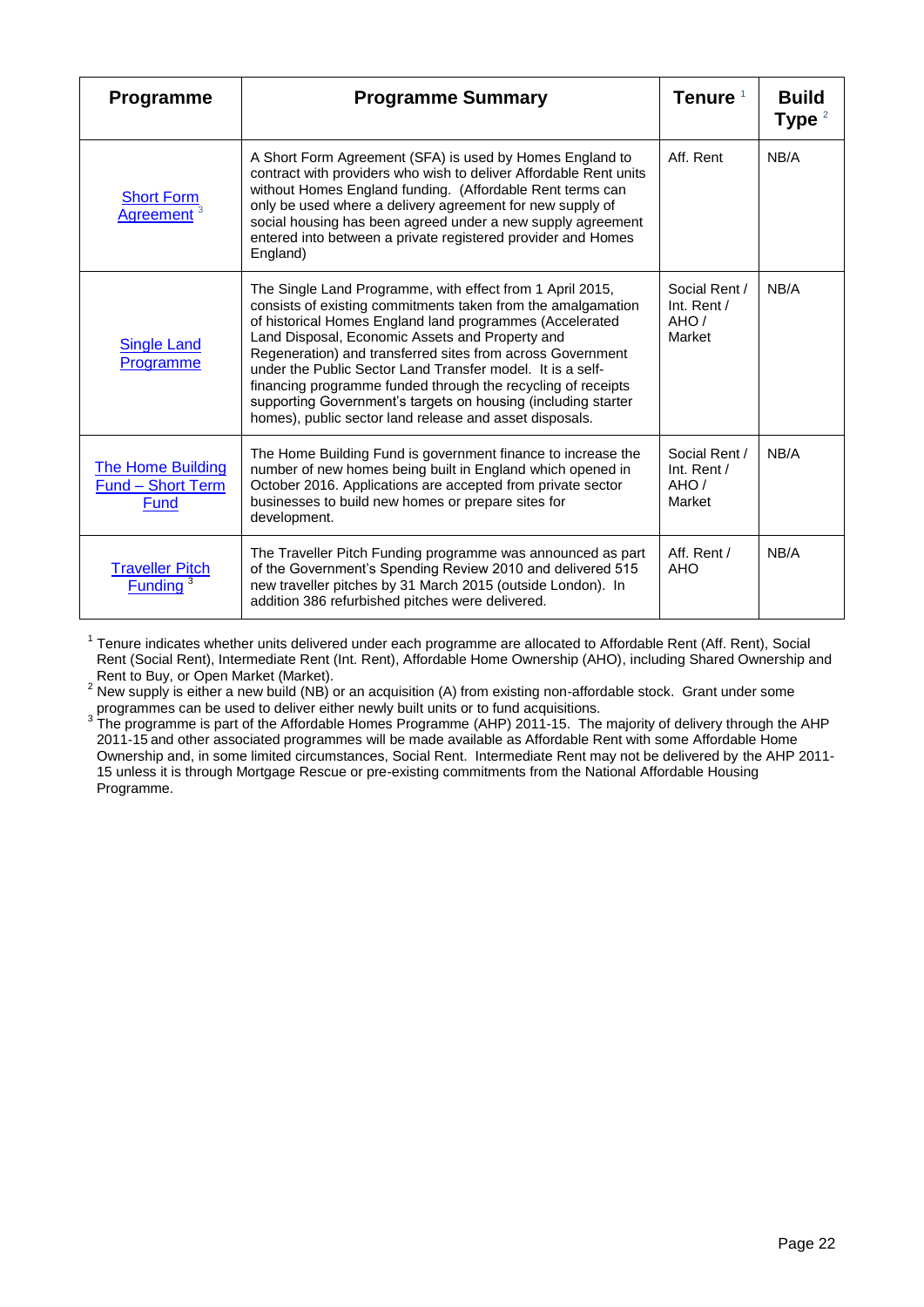| <b>Programme</b>                                             | <b>Programme Summary</b>                                                                                                                                                                                                                                                                                                                                                                                                                                                                                                                                         | Tenure <sup>1</sup>                              | <b>Build</b><br>Type $2$ |
|--------------------------------------------------------------|------------------------------------------------------------------------------------------------------------------------------------------------------------------------------------------------------------------------------------------------------------------------------------------------------------------------------------------------------------------------------------------------------------------------------------------------------------------------------------------------------------------------------------------------------------------|--------------------------------------------------|--------------------------|
| <b>Short Form</b><br><b>Agreement</b>                        | A Short Form Agreement (SFA) is used by Homes England to<br>contract with providers who wish to deliver Affordable Rent units<br>without Homes England funding. (Affordable Rent terms can<br>only be used where a delivery agreement for new supply of<br>social housing has been agreed under a new supply agreement<br>entered into between a private registered provider and Homes<br>England)                                                                                                                                                               | Aff. Rent                                        | NB/A                     |
| <b>Single Land</b><br>Programme                              | The Single Land Programme, with effect from 1 April 2015,<br>consists of existing commitments taken from the amalgamation<br>of historical Homes England land programmes (Accelerated<br>Land Disposal, Economic Assets and Property and<br>Regeneration) and transferred sites from across Government<br>under the Public Sector Land Transfer model. It is a self-<br>financing programme funded through the recycling of receipts<br>supporting Government's targets on housing (including starter<br>homes), public sector land release and asset disposals. | Social Rent /<br>Int. Rent $/$<br>AHO/<br>Market | NB/A                     |
| <b>The Home Building</b><br><b>Fund - Short Term</b><br>Fund | The Home Building Fund is government finance to increase the<br>number of new homes being built in England which opened in<br>October 2016. Applications are accepted from private sector<br>businesses to build new homes or prepare sites for<br>development.                                                                                                                                                                                                                                                                                                  | Social Rent /<br>Int. Rent /<br>AHO/<br>Market   | NB/A                     |
| <b>Traveller Pitch</b><br><b>Funding</b>                     | The Traveller Pitch Funding programme was announced as part<br>of the Government's Spending Review 2010 and delivered 515<br>new traveller pitches by 31 March 2015 (outside London). In<br>addition 386 refurbished pitches were delivered.                                                                                                                                                                                                                                                                                                                     | Aff. Rent /<br>AHO                               | NB/A                     |

<sup>1</sup> Tenure indicates whether units delivered under each programme are allocated to Affordable Rent (Aff. Rent), Social Rent (Social Rent), Intermediate Rent (Int. Rent), Affordable Home Ownership (AHO), including Shared Ownership and Rent to Buy, or Open Market (Market).

 $2$  New supply is either a new build (NB) or an acquisition (A) from existing non-affordable stock. Grant under some

programmes can be used to deliver either newly built units or to fund acquisitions.<br><sup>3</sup> The programme is part of the Affordable Homes Programme (AHP) 2011-15. The majority of delivery through the AHP 2011-15 and other associated programmes will be made available as Affordable Rent with some Affordable Home Ownership and, in some limited circumstances, Social Rent. Intermediate Rent may not be delivered by the AHP 2011- 15 unless it is through Mortgage Rescue or pre-existing commitments from the National Affordable Housing Programme.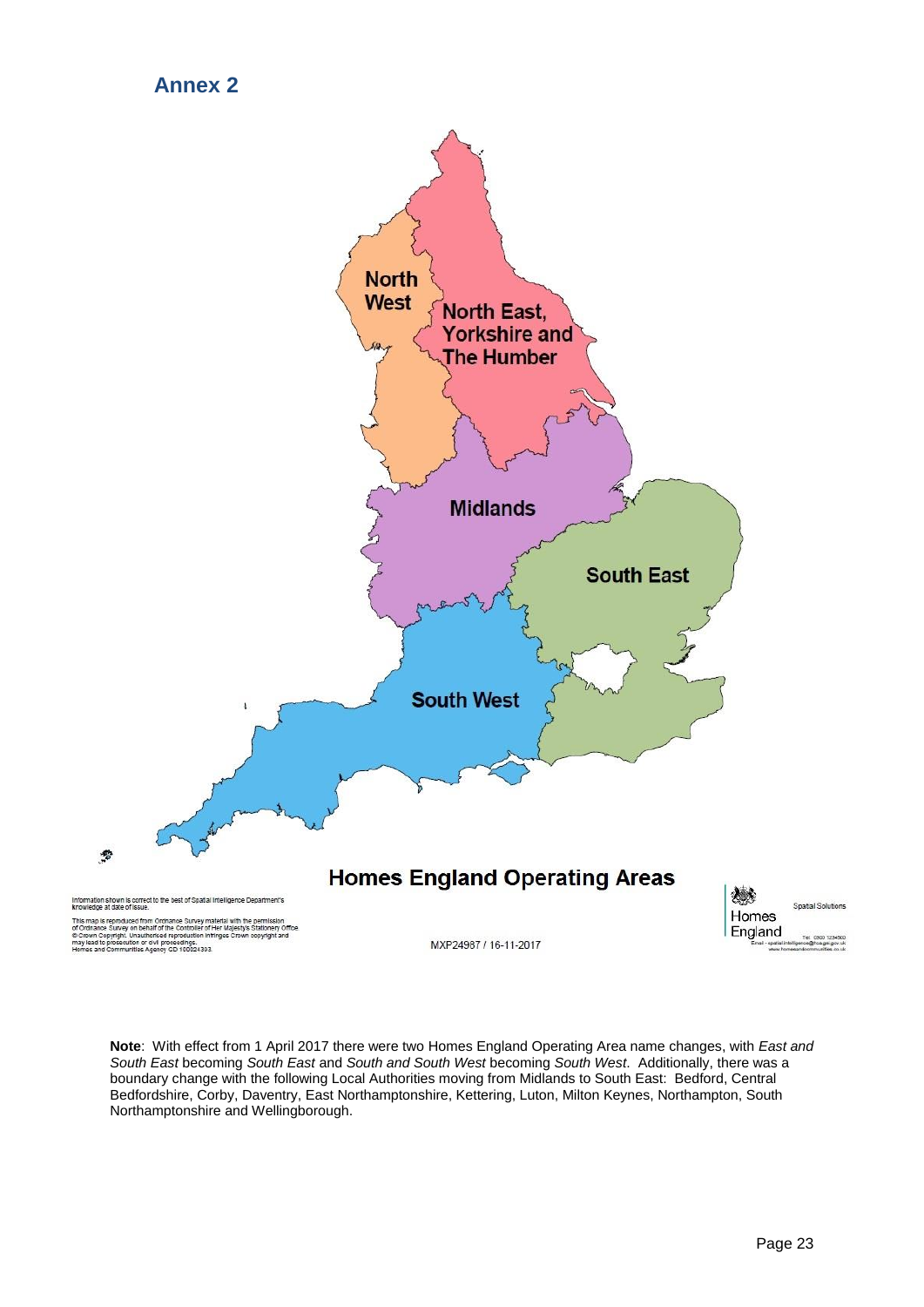### **Annex 2**

<span id="page-22-0"></span>

**Note**: With effect from 1 April 2017 there were two Homes England Operating Area name changes, with *East and South East* becoming *South East* and *South and South West* becoming *South West*. Additionally, there was a boundary change with the following Local Authorities moving from Midlands to South East: Bedford, Central Bedfordshire, Corby, Daventry, East Northamptonshire, Kettering, Luton, Milton Keynes, Northampton, South Northamptonshire and Wellingborough.